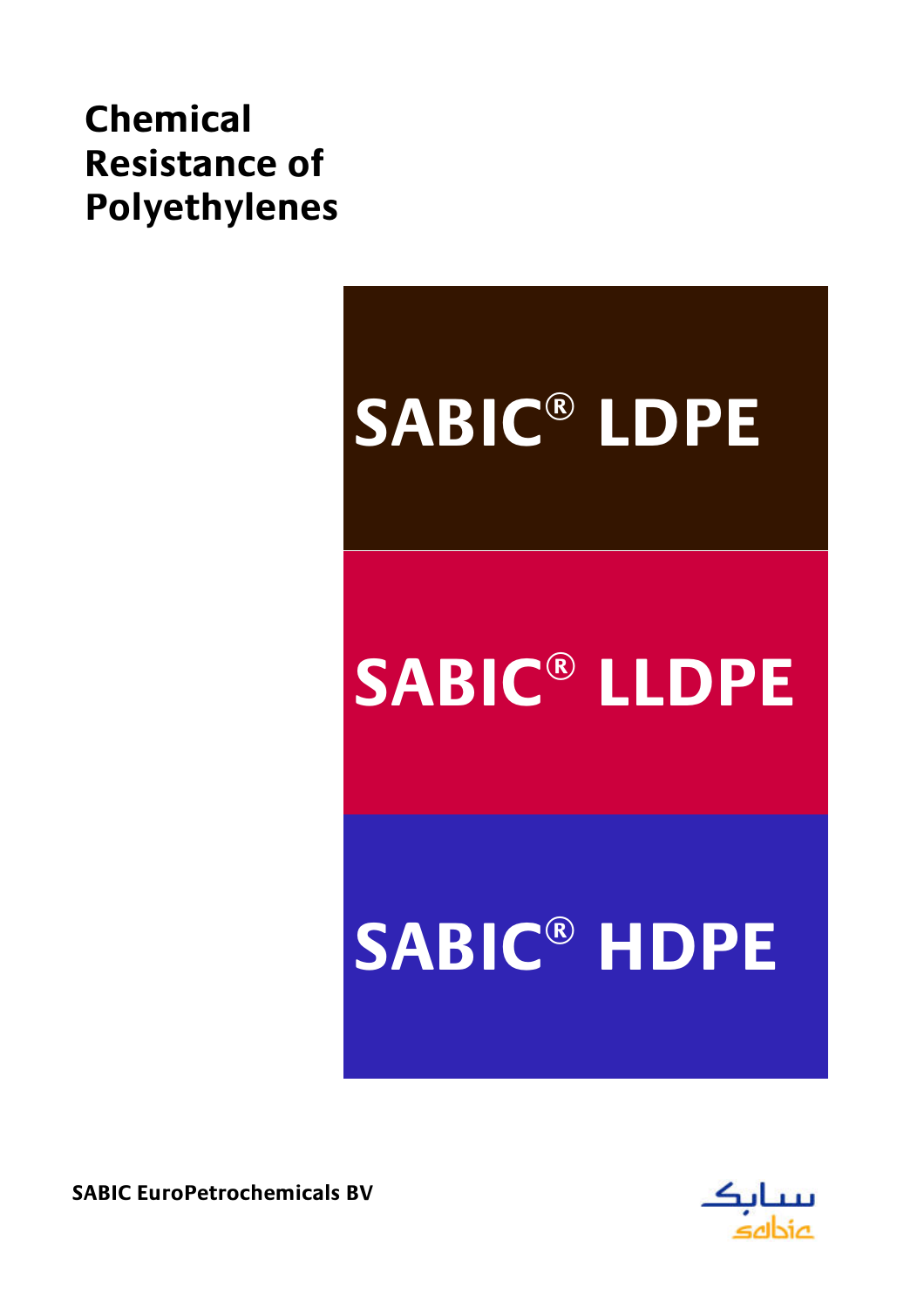# **Chemical Resistance of Polyethylenes**

# SABIC® LDPE **SABIC® LLDPE SABIC® HDPE**

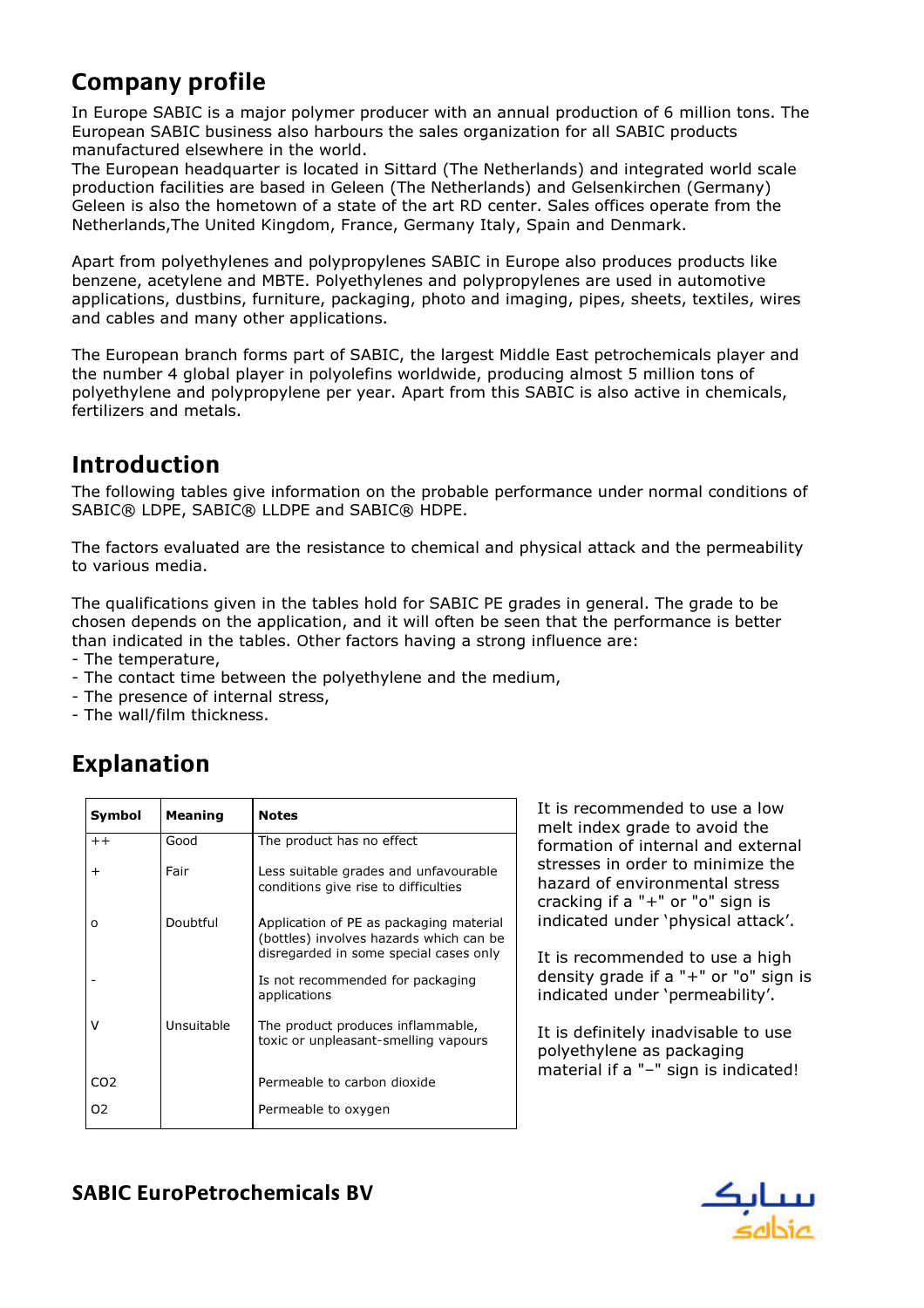# Company profile

In Europe SABIC is a major polymer producer with an annual production of 6 million tons. The European SABIC business also harbours the sales organization for all SABIC products manufactured elsewhere in the world.

The European headquarter is located in Sittard (The Netherlands) and integrated world scale production facilities are based in Geleen (The Netherlands) and Gelsenkirchen (Germany) Geleen is also the hometown of a state of the art RD center. Sales offices operate from the Netherlands,The United Kingdom, France, Germany Italy, Spain and Denmark.

Apart from polyethylenes and polypropylenes SABIC in Europe also produces products like benzene, acetylene and MBTE. Polyethylenes and polypropylenes are used in automotive applications, dustbins, furniture, packaging, photo and imaging, pipes, sheets, textiles, wires and cables and many other applications.

The European branch forms part of SABIC, the largest Middle East petrochemicals player and the number 4 global player in polyolefins worldwide, producing almost 5 million tons of polyethylene and polypropylene per year. Apart from this SABIC is also active in chemicals, fertilizers and metals.

#### Introduction

The following tables give information on the probable performance under normal conditions of SABIC® LDPE, SABIC® LLDPE and SABIC® HDPE.

The factors evaluated are the resistance to chemical and physical attack and the permeability to various media.

The qualifications given in the tables hold for SABIC PE grades in general. The grade to be chosen depends on the application, and it will often be seen that the performance is better than indicated in the tables. Other factors having a strong influence are:

- The temperature,
- The contact time between the polyethylene and the medium,
- The presence of internal stress,
- The wall/film thickness.

# Explanation

| Symbol          | Meaning    | <b>Notes</b>                                                                                                                 |
|-----------------|------------|------------------------------------------------------------------------------------------------------------------------------|
| $++$            | Good       | The product has no effect                                                                                                    |
| $\overline{+}$  | Fair       | Less suitable grades and unfavourable<br>conditions give rise to difficulties                                                |
| O               | Doubtful   | Application of PE as packaging material<br>(bottles) involves hazards which can be<br>disregarded in some special cases only |
|                 |            | Is not recommended for packaging<br>applications                                                                             |
|                 | Unsuitable | The product produces inflammable,<br>toxic or unpleasant-smelling vapours                                                    |
| CO <sub>2</sub> |            | Permeable to carbon dioxide                                                                                                  |
| 02              |            | Permeable to oxygen                                                                                                          |

It is recommended to use a low melt index grade to avoid the formation of internal and external stresses in order to minimize the hazard of environmental stress cracking if a "+" or "o" sign is indicated under 'physical attack'.

It is recommended to use a high density grade if a "+" or "o" sign is indicated under 'permeability'.

It is definitely inadvisable to use polyethylene as packaging material if a "-" sign is indicated!

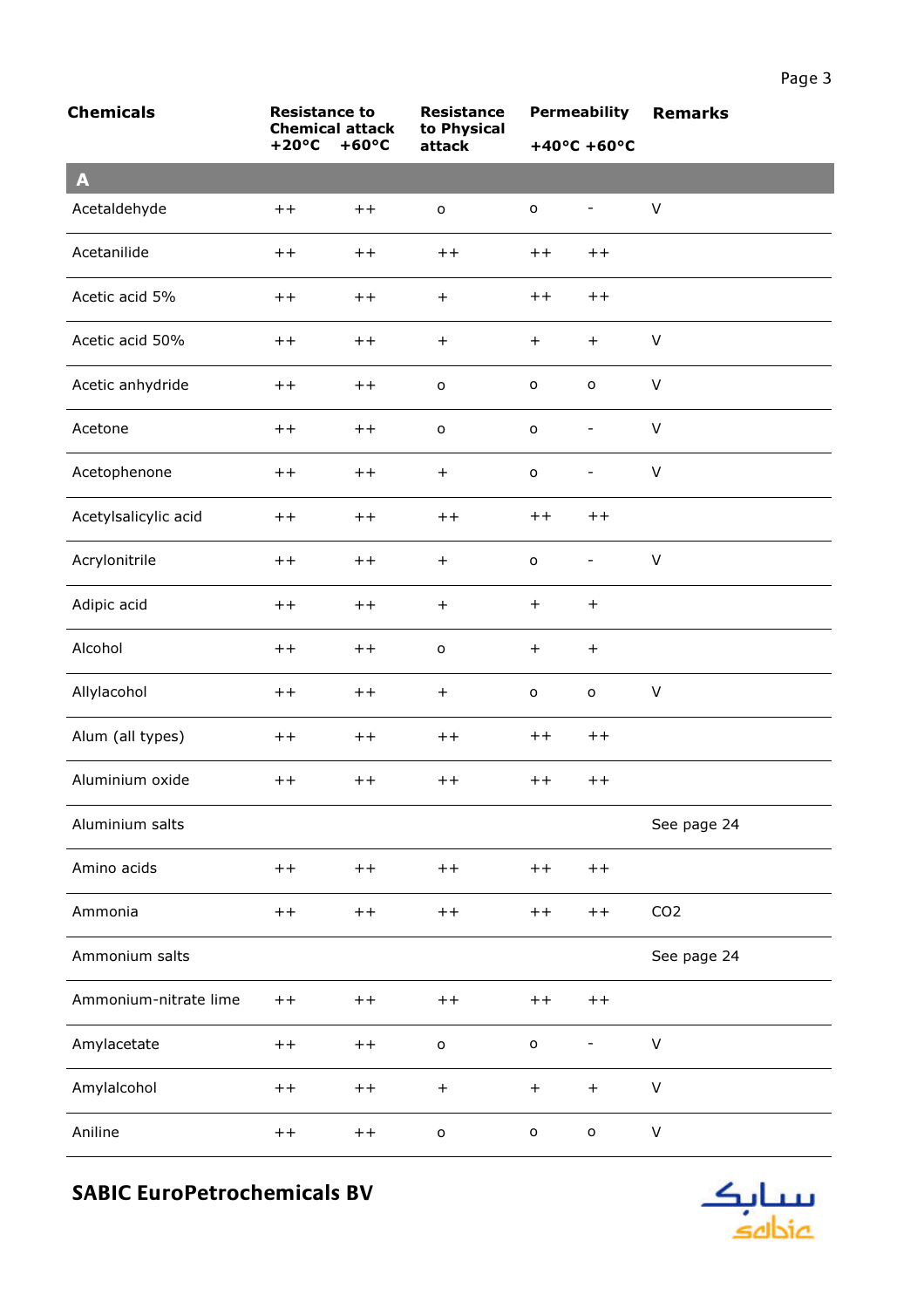| <b>Chemicals</b>      | <b>Resistance to</b><br><b>Chemical attack</b> |                 | <b>Resistance</b><br>to Physical |                     | <b>Permeability</b>              | <b>Remarks</b>  |
|-----------------------|------------------------------------------------|-----------------|----------------------------------|---------------------|----------------------------------|-----------------|
|                       | $+20^{\circ}C$                                 | $+60^{\circ}C$  | attack                           |                     | $+40^{\circ}$ C +60 $^{\circ}$ C |                 |
| $\mathbf{A}$          |                                                |                 |                                  |                     |                                  |                 |
| Acetaldehyde          | $++$                                           | $++$            | $\mathsf{o}$                     | $\mathsf{o}\xspace$ | $\overline{\phantom{0}}$         | $\vee$          |
| Acetanilide           | $++$                                           | $++$            | $++$                             | $++$                | $+ +$                            |                 |
| Acetic acid 5%        | $++$                                           | $^{\mathrm{+}}$ | $+$                              | $++$                | $++$                             |                 |
| Acetic acid 50%       | $+ +$                                          | $++$            | $+$                              | $+$                 | $+$                              | $\vee$          |
| Acetic anhydride      | $^{\mathrm{+}}$                                | $+ +$           | $\mathsf{o}$                     | o                   | $\mathsf{o}\xspace$              | V               |
| Acetone               | $+ +$                                          | $+ +$           | $\mathsf{o}$                     | $\mathsf{o}$        | $\overline{\phantom{0}}$         | $\vee$          |
| Acetophenone          | $+ +$                                          | $+ +$           | $+$                              | $\mathsf{o}$        | $\overline{\phantom{0}}$         | $\vee$          |
| Acetylsalicylic acid  | $^{\mathrm{+}}$                                | $++$            | $++$                             | $++$                | $++$                             |                 |
| Acrylonitrile         | $+ +$                                          | $+ +$           | $+$                              | $\mathsf{o}\xspace$ | $\overline{\phantom{0}}$         | $\sf V$         |
| Adipic acid           | $+ +$                                          | $+ +$           | $+$                              | $+$                 | $\ddot{}$                        |                 |
| Alcohol               | $^{\mathrm{+}}$                                | $++$            | $\mathsf{o}$                     | $+$                 | $+$                              |                 |
| Allylacohol           | $+ +$                                          | $+ +$           | $\boldsymbol{+}$                 | $\mathsf{o}$        | $\mathsf{o}\xspace$              | V               |
| Alum (all types)      | $++$                                           | $+ +$           | $++$                             | $++$                | $++$                             |                 |
| Aluminium oxide       | $++$                                           | $+ +$           | $++$                             | $++$                | $+ +$                            |                 |
| Aluminium salts       |                                                |                 |                                  |                     |                                  | See page 24     |
| Amino acids           | $+ +$                                          | $+ +$           | $++$                             | $+ +$               | $+ +$                            |                 |
| Ammonia               | $+ +$                                          | $++$            | $+ +$                            | $+ +$               | $+ +$                            | CO <sub>2</sub> |
| Ammonium salts        |                                                |                 |                                  |                     |                                  | See page 24     |
| Ammonium-nitrate lime | $+ +$                                          | $+ +$           | $+ +$                            | $+ +$               | $+ +$                            |                 |
| Amylacetate           | $++$                                           | $++$            | $\mathsf{o}$                     | $\mathsf{o}$        | $\overline{\phantom{0}}$         | V               |
| Amylalcohol           | $+ +$                                          | $+ +$           | $^{+}$                           | $+$                 | $\boldsymbol{+}$                 | $\vee$          |
| Aniline               | $+ +$                                          | $+ +$           | $\mathsf{o}$                     | $\mathsf{o}$        | $\mathsf{o}$                     | V               |

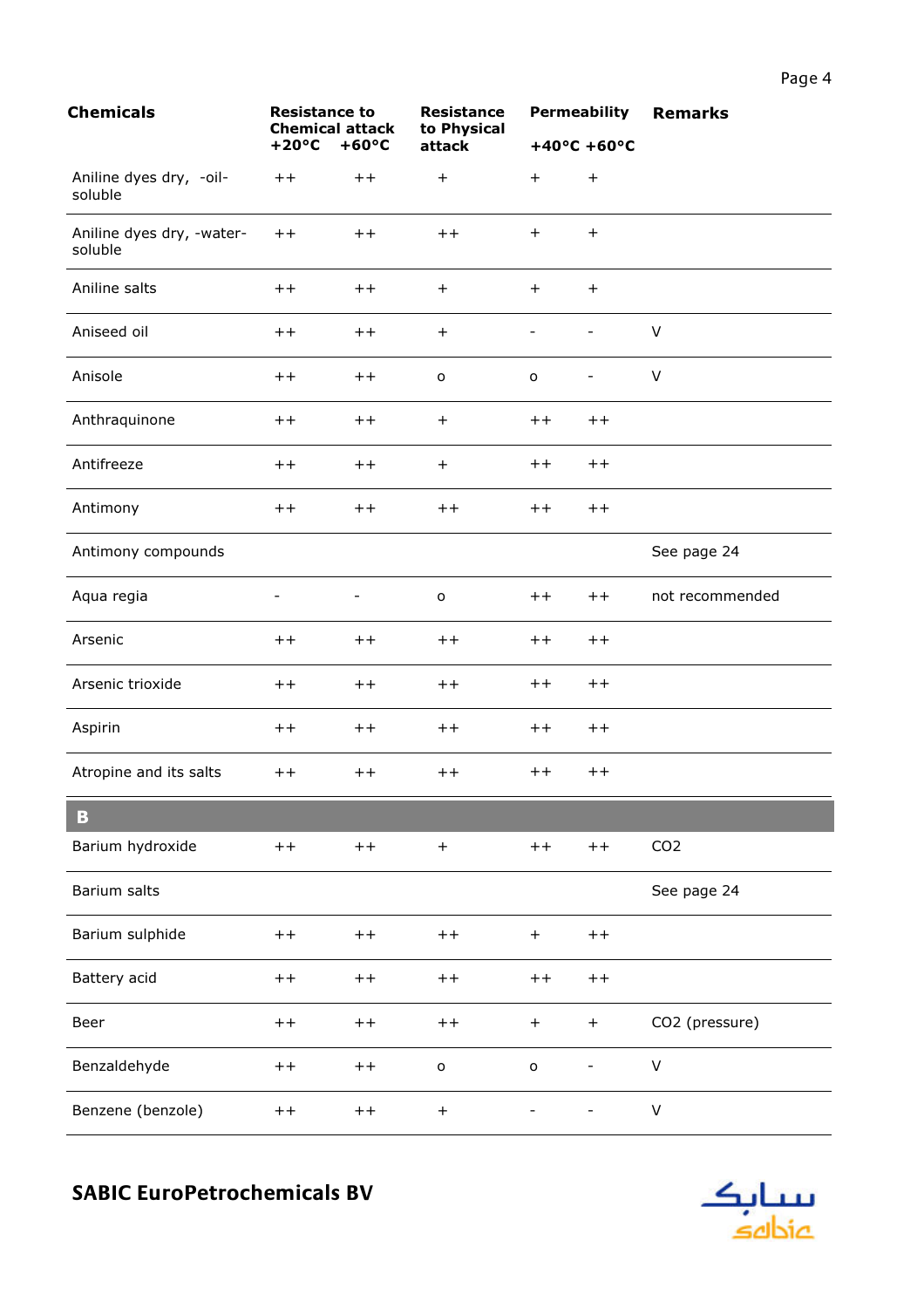| Resistance<br>to Physical |           |                       | <b>Permeability Remarks</b> |
|---------------------------|-----------|-----------------------|-----------------------------|
| attack                    |           | $+40^{\circ}$ C +60°C |                             |
| $\ddot{}$                 | $\ddot{}$ | $^{+}$                |                             |
| $++$                      | $\ddot{}$ | $\ddot{}$             |                             |
| $\ddot{}$                 | $\ddot{}$ | $\pm$                 |                             |
| $\ddot{}$                 |           |                       | v                           |
| o                         | o         |                       | V                           |
| $\div$                    | $+ +$     | $+ +$                 |                             |

| Aniseed oil            | $++$           | $++$                     | $\overline{+}$    | $\overline{\phantom{a}}$ | $\overline{\phantom{a}}$ | V               |
|------------------------|----------------|--------------------------|-------------------|--------------------------|--------------------------|-----------------|
| Anisole                | $+ +$          | $+ +$                    | $\mathsf{o}$      | $\mathsf{o}\xspace$      | $\overline{\phantom{a}}$ | $\vee$          |
| Anthraquinone          | $++$           | $++$                     | $+$               | $++$                     | $++$                     |                 |
| Antifreeze             | $++$           | $++$                     | $\ddot{}$         | $+ +$                    | $++$                     |                 |
| Antimony               | $+ +$          | $++$                     | $++$              | $+ +$                    | $++$                     |                 |
| Antimony compounds     |                |                          |                   |                          |                          | See page 24     |
| Aqua regia             | $\overline{a}$ | $\overline{\phantom{a}}$ | $\mathsf{o}$      | $++$                     | $++$                     | not recommended |
| Arsenic                | $++$           | $++$                     | $++$              | $++$                     | $++$                     |                 |
| Arsenic trioxide       | $++$           | $++$                     | $++$              | $++$                     | $++$                     |                 |
| Aspirin                | $++$           | $++$                     | $++$              | $++$                     | $++$                     |                 |
| Atropine and its salts | $++$           | $++$                     | $++$              | $++$                     | $++$                     |                 |
| $\mathbf{B}$           |                |                          |                   |                          |                          |                 |
| Barium hydroxide       | $+ +$          | $++$                     | $\overline{+}$    | $++$                     | $++$                     | CO <sub>2</sub> |
| Barium salts           |                |                          |                   |                          |                          | See page 24     |
| Barium sulphide        | $++$           | $++$                     | $++$              | $\boldsymbol{+}$         | $++$                     |                 |
| Battery acid           | $+ +$          | $+ +$                    | $++$              | $++$                     | $++$                     |                 |
| Beer                   | $++$           | $++$                     | $+ +$             | $+$                      | $\boldsymbol{+}$         | CO2 (pressure)  |
| Benzaldehyde           | $++$           | $++$                     | $\mathsf{o}$      | $\circ$                  | $\overline{\phantom{a}}$ | $\mathsf V$     |
| Benzene (benzole)      | $++$           | $++$                     | $\qquad \qquad +$ | $\overline{\phantom{a}}$ |                          | $\mathsf V$     |

**Chemicals** 

soluble

soluble

Aniline salts

Aniline dyes dry, -oil-

Aniline dyes dry, -water-

**Resistance to** 

 $++$ 

 $++$ 

 $++$ 

**Chemical attack** 

 $+20^{\circ}$ C  $+60^{\circ}$ C

 $++$ 

 $+ +$ 

 $++$ 

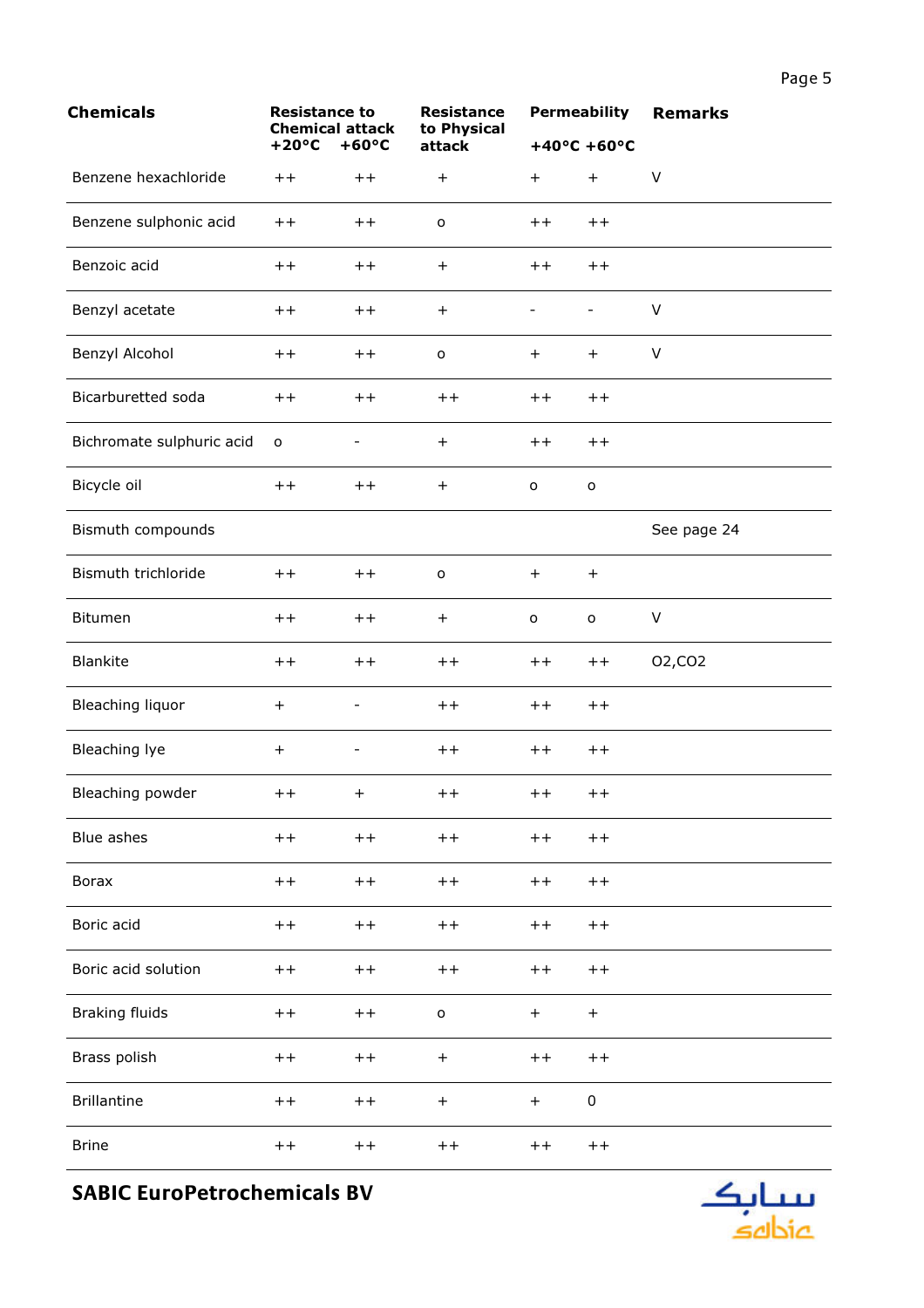| <b>Chemicals</b>          | <b>Resistance to</b><br><b>Chemical attack</b> |                          | <b>Resistance</b><br>to Physical | <b>Permeability</b>      |                          | <b>Remarks</b>      |
|---------------------------|------------------------------------------------|--------------------------|----------------------------------|--------------------------|--------------------------|---------------------|
|                           | $+20^{\circ}C$                                 | $+60^{\circ}C$           | attack                           |                          | $+40^{\circ}$ C +60°C    |                     |
| Benzene hexachloride      | $^{\mathrm{+}}$                                | $++$                     | $\ddot{}$                        | $+$                      | $+$                      | $\sf V$             |
| Benzene sulphonic acid    | $^{\mathrm{+}}$                                | $++$                     | $\mathsf{o}$                     | $++$                     | $++$                     |                     |
| Benzoic acid              | $+ +$                                          | $++$                     | $+$                              | $++$                     | $++$                     |                     |
| Benzyl acetate            | $++$                                           | $++$                     | $+$                              | $\overline{\phantom{a}}$ | $\overline{\phantom{a}}$ | $\vee$              |
| Benzyl Alcohol            | $+ +$                                          | $++$                     | $\mathsf{o}$                     | $+$                      | $+$                      | V                   |
| Bicarburetted soda        | $++$                                           | $++$                     | $++$                             | $+ +$                    | $++$                     |                     |
| Bichromate sulphuric acid | $\mathsf{o}$                                   |                          | $\ddot{}$                        | $++$                     | $++$                     |                     |
| Bicycle oil               | $+ +$                                          | $++$                     | $+$                              | $\mathsf{o}\xspace$      | $\mathsf{o}$             |                     |
| Bismuth compounds         |                                                |                          |                                  |                          |                          | See page 24         |
| Bismuth trichloride       | $++$                                           | $+ +$                    | $\mathsf{o}$                     | $+$                      | $+$                      |                     |
| Bitumen                   | $+ +$                                          | $++$                     | $+$                              | $\mathsf{o}$             | $\mathsf{o}$             | $\vee$              |
| Blankite                  | $+ +$                                          | $++$                     | $+ +$                            | $+ +$                    | $+ +$                    | 02, CO <sub>2</sub> |
| Bleaching liquor          | $\ddot{}$                                      |                          | $++$                             | $++$                     | $++$                     |                     |
| Bleaching lye             | $\ddot{}$                                      | $\overline{\phantom{a}}$ | $++$                             | $++$                     | $++$                     |                     |
| Bleaching powder          | $++$ $+$                                       |                          | $++$                             | $++$                     | $++$                     |                     |
| Blue ashes                | $+ +$                                          | $++$                     | $+ +$                            | $++$                     | $++$                     |                     |
| <b>Borax</b>              | $+ +$                                          | $++$                     | $+ +$                            | $++$                     | $+ +$                    |                     |
| Boric acid                | $++$                                           | $++$                     | $++$                             | $+ +$                    | $+ +$                    |                     |
| Boric acid solution       | $++$                                           | $+ +$                    | $++$                             | $++$                     | $+ +$                    |                     |
| <b>Braking fluids</b>     | $+ +$                                          | $++$                     | $\mathsf{o}$                     | $+$                      | $+$                      |                     |
| Brass polish              | $+ +$                                          | $++$                     | $\qquad \qquad +$                | $++$                     | $+ +$                    |                     |
| <b>Brillantine</b>        | $+ +$                                          | $++$                     | $+$                              | $+$                      | $\mathsf 0$              |                     |
| <b>Brine</b>              | $++$                                           | $++$                     | $++$                             | $++$                     | $+ +$                    |                     |

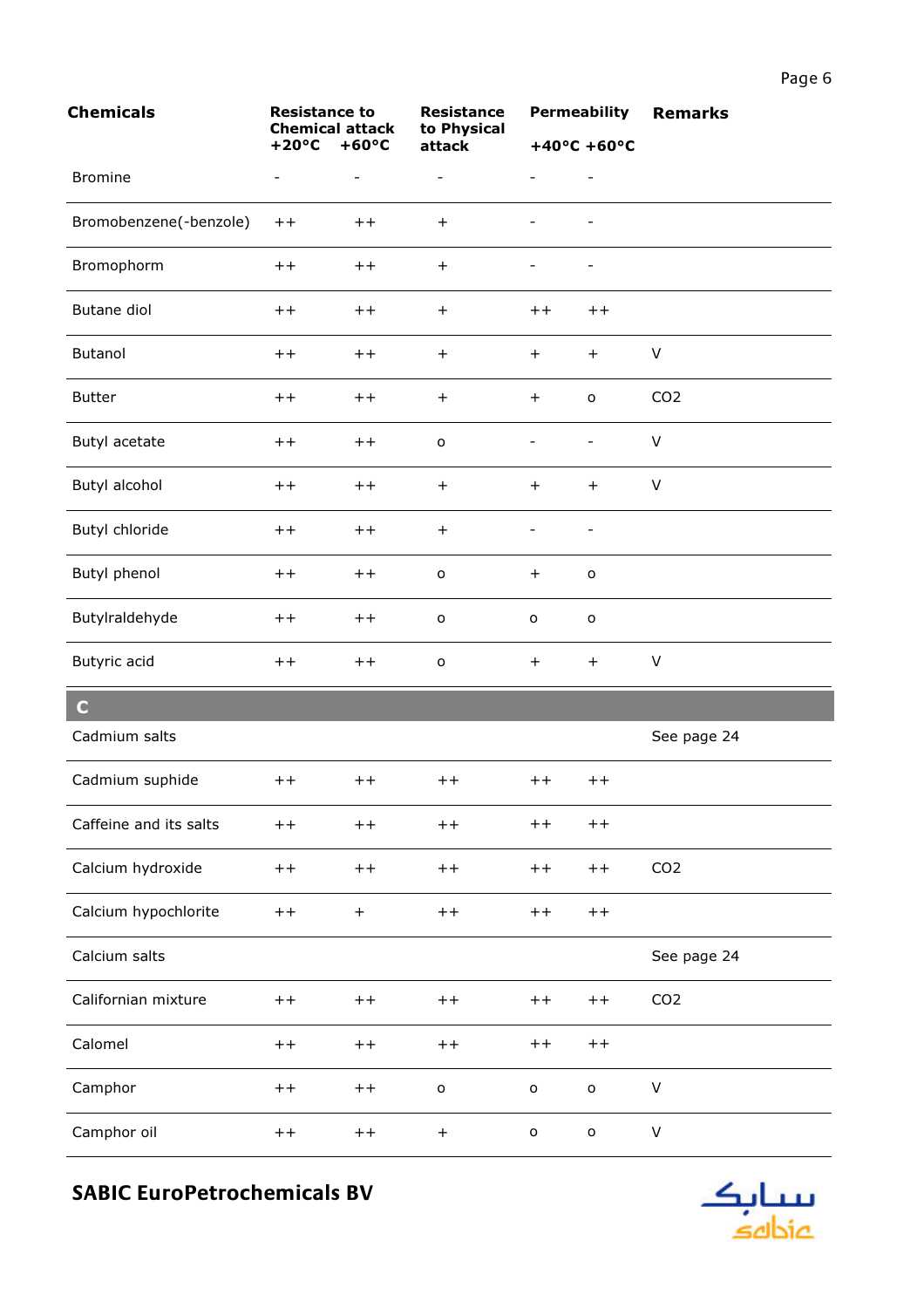| <b>Chemicals</b>       | <b>Resistance to</b><br><b>Chemical attack</b><br>$+60^{\circ}C$<br>$+20^{\circ}C$ |                   | <b>Resistance</b><br>to Physical |                          | <b>Permeability</b>      | <b>Remarks</b>  |
|------------------------|------------------------------------------------------------------------------------|-------------------|----------------------------------|--------------------------|--------------------------|-----------------|
|                        |                                                                                    |                   | attack                           |                          | $+40^{\circ}$ C +60°C    |                 |
| <b>Bromine</b>         | $\qquad \qquad -$                                                                  | $\qquad \qquad -$ | $\qquad \qquad -$                |                          | $\overline{\phantom{a}}$ |                 |
| Bromobenzene(-benzole) | $++$                                                                               | $++$              | $\ddot{}$                        | $\overline{\phantom{a}}$ | $\overline{\phantom{a}}$ |                 |
| Bromophorm             | $++$                                                                               | $++$              | $+$                              |                          |                          |                 |
| Butane diol            | $++$                                                                               | $++$              | $+$                              | $++$                     | $++$                     |                 |
| <b>Butanol</b>         | $++$                                                                               | $++$              | $+$                              | $+$                      | $+$                      | $\vee$          |
| <b>Butter</b>          | $++$                                                                               | $++$              | $+$                              | $+$                      | $\mathsf{o}\,$           | CO <sub>2</sub> |
| Butyl acetate          | $++$                                                                               | $++$              | $\mathsf{o}$                     | $\overline{\phantom{0}}$ | $\qquad \qquad -$        | $\vee$          |
| Butyl alcohol          | $^{\mathrm{+}}$                                                                    | $+ +$             | $+$                              | $+$                      | $+$                      | $\vee$          |
| Butyl chloride         | $+ +$                                                                              | $++$              | $\ddot{}$                        | $\overline{\phantom{a}}$ | $\overline{\phantom{a}}$ |                 |
| Butyl phenol           | $+ +$                                                                              | $++$              | $\mathsf{o}$                     | $+$                      | $\mathsf{o}$             |                 |
| Butylraldehyde         | $++$                                                                               | $++$              | $\mathsf{o}$                     | o                        | $\mathsf{o}$             |                 |
| Butyric acid           | $++$                                                                               | $++$              | $\mathsf{o}$                     | $\ddot{}$                | $+$                      | $\vee$          |
| $\mathbf C$            |                                                                                    |                   |                                  |                          |                          |                 |
| Cadmium salts          |                                                                                    |                   |                                  |                          |                          | See page 24     |
| Cadmium suphide        | $++$                                                                               | $++$              | $++$                             | $++$                     | $+ +$                    |                 |
| Caffeine and its salts | $++$                                                                               | $++$              | $+ +$                            | $++$                     | $+ +$                    |                 |
| Calcium hydroxide      | $++$                                                                               | $++$              | $++$                             | $++$                     | $+ +$                    | CO <sub>2</sub> |
| Calcium hypochlorite   | $+ +$                                                                              | $\ddot{}$         | $+ +$                            | $+ +$                    | $++$                     |                 |
| Calcium salts          |                                                                                    |                   |                                  |                          |                          | See page 24     |
| Californian mixture    | $++$                                                                               | $++$              | $+ +$                            | $++$                     | $+ +$                    | CO <sub>2</sub> |
| Calomel                | $+ +$                                                                              | $++$              | $+ +$                            | $+ +$                    | $++$                     |                 |
| Camphor                | $++$                                                                               | $++$              | $\mathsf{o}$                     | $\mathsf{o}$             | $\mathsf{o}$             | $\sf V$         |
| Camphor oil            | $+ +$                                                                              | $++$              | $^{+}$                           | $\mathbf{o}$             | $\mathsf{o}$             | V               |

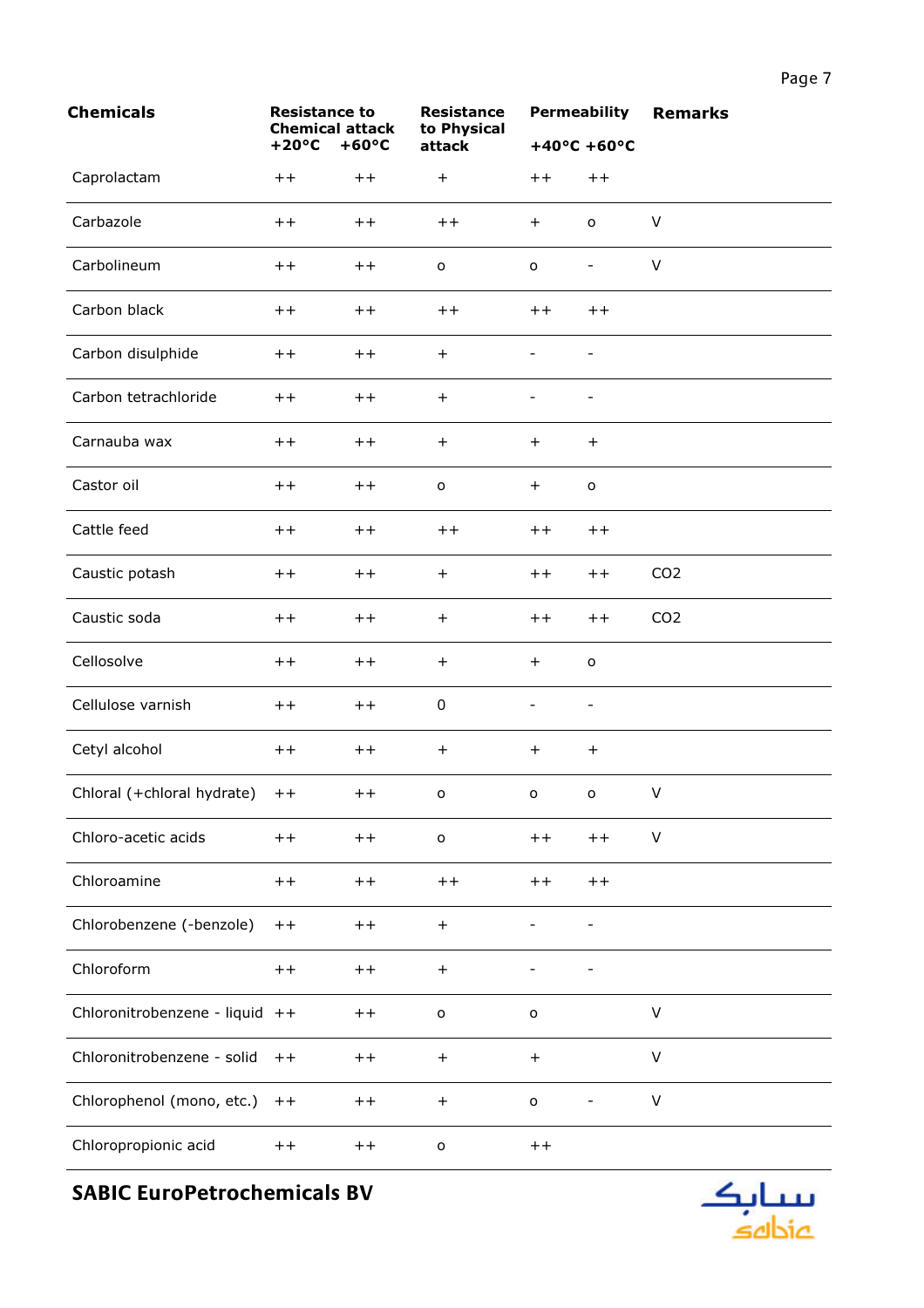| <b>Chemicals</b>               | <b>Resistance to</b><br><b>Chemical attack</b><br>$+60^{\circ}C$<br>$+20^{\circ}C$ |       | <b>Resistance</b><br>to Physical | <b>Permeability</b><br>$+40^{\circ}$ C +60°C |                          | <b>Remarks</b>  |
|--------------------------------|------------------------------------------------------------------------------------|-------|----------------------------------|----------------------------------------------|--------------------------|-----------------|
|                                |                                                                                    |       | attack                           |                                              |                          |                 |
| Caprolactam                    | $++$                                                                               | $++$  | $\ddot{}$                        | $++$                                         | $+ +$                    |                 |
| Carbazole                      | $++$                                                                               | $++$  | $++$                             | $+$                                          | $\mathsf{o}$             | V               |
| Carbolineum                    | $++$                                                                               | $++$  | $\mathsf{o}$                     | o                                            | $\qquad \qquad -$        | V               |
| Carbon black                   | $++$                                                                               | $++$  | $++$                             | $+ +$                                        | $++$                     |                 |
| Carbon disulphide              | $++$                                                                               | $++$  | $+$                              | $\overline{\phantom{0}}$                     | $\overline{\phantom{a}}$ |                 |
| Carbon tetrachloride           | $++$                                                                               | $+ +$ | $+$                              | -                                            | $\overline{\phantom{a}}$ |                 |
| Carnauba wax                   | $++$                                                                               | $++$  | $+$                              | $+$                                          | $+$                      |                 |
| Castor oil                     | $+ +$                                                                              | $+ +$ | $\mathsf{o}$                     | $+$                                          | $\mathsf{o}$             |                 |
| Cattle feed                    | $++$                                                                               | $+ +$ | $++$                             | $+ +$                                        | $++$                     |                 |
| Caustic potash                 | $++$                                                                               | $++$  | $\ddot{}$                        | $++$                                         | $+ +$                    | CO <sub>2</sub> |
| Caustic soda                   | $++$                                                                               | $++$  | $\ddot{}$                        | $++$                                         | $++$                     | CO <sub>2</sub> |
| Cellosolve                     | $++$                                                                               | $++$  | $\ddot{}$                        | $+$                                          | $\mathsf{o}$             |                 |
| Cellulose varnish              | $+ +$                                                                              | $++$  | 0                                | $\overline{\phantom{0}}$                     | $\overline{\phantom{a}}$ |                 |
| Cetyl alcohol                  | $++$                                                                               | $++$  | $^{+}$                           | $+$                                          | $^{+}$                   |                 |
| Chloral (+chloral hydrate)     | $++$                                                                               | $++$  | $\mathsf{o}$                     | o                                            | о                        | V               |
| Chloro-acetic acids            | $++$                                                                               | $++$  | $\mathsf{o}$                     | $+ +$                                        | $++$                     | V               |
| Chloroamine                    | $++$                                                                               | $++$  | $++$                             | $++$                                         | $++$                     |                 |
| Chlorobenzene (-benzole)       | $++$                                                                               | $++$  | $\begin{array}{c} + \end{array}$ |                                              |                          |                 |
| Chloroform                     | $++$                                                                               | $++$  | $\ddot{}$                        |                                              | -                        |                 |
| Chloronitrobenzene - liquid ++ |                                                                                    | $++$  | $\mathsf{o}$                     | $\mathsf{o}$                                 |                          | V               |
| Chloronitrobenzene - solid     | $++$                                                                               | $++$  | $\ddot{}$                        | $\ddot{}$                                    |                          | V               |
| Chlorophenol (mono, etc.)      | $+ +$                                                                              | $+ +$ | $+$                              | $\mathsf{o}$                                 |                          | $\sf V$         |
| Chloropropionic acid           | $++$                                                                               | $++$  | $\mathsf{o}$                     | $+ +$                                        |                          |                 |

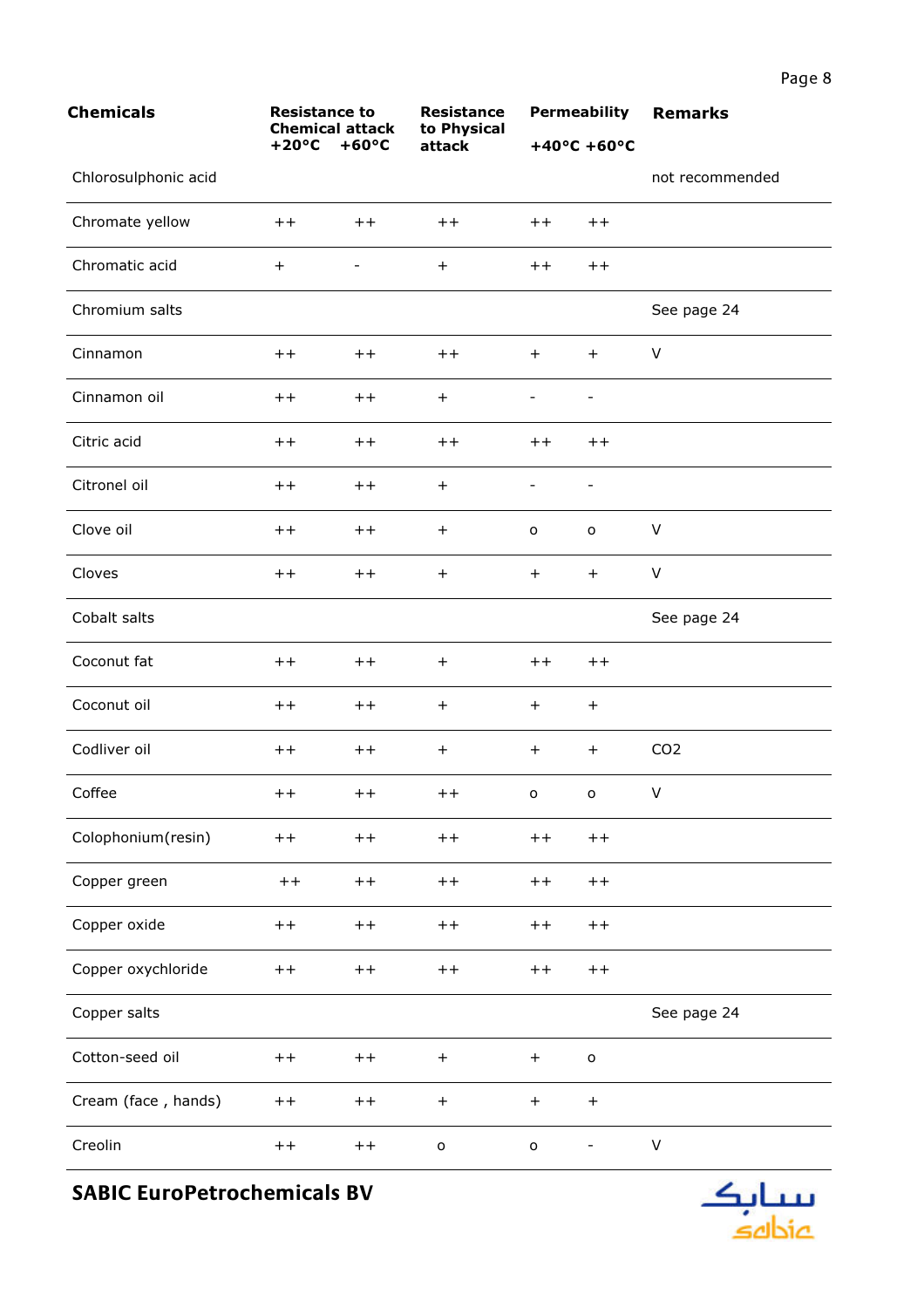| <b>Chemicals</b>     | <b>Resistance to</b><br><b>Chemical attack</b> |                          | <b>Resistance</b><br>to Physical |                          | <b>Permeability</b>      | <b>Remarks</b>  |
|----------------------|------------------------------------------------|--------------------------|----------------------------------|--------------------------|--------------------------|-----------------|
|                      | $+20^{\circ}C$                                 | $+60^{\circ}C$           | attack                           |                          | $+40^{\circ}$ C +60°C    |                 |
| Chlorosulphonic acid |                                                |                          |                                  |                          |                          | not recommended |
| Chromate yellow      | $+ +$                                          | $+ +$                    | $^{\mathrm{+}}$                  | $++$                     | $++$                     |                 |
| Chromatic acid       | $+$                                            | $\overline{\phantom{a}}$ | $\ddot{}$                        | $++$                     | $++$                     |                 |
| Chromium salts       |                                                |                          |                                  |                          |                          | See page 24     |
| Cinnamon             | $++$                                           | $++$                     | $+ +$                            | $+$                      | $+$                      | V               |
| Cinnamon oil         | $++$                                           | $++$                     | $\ddot{}$                        | -                        | $\overline{\phantom{a}}$ |                 |
| Citric acid          | $++$                                           | $++$                     | $++$                             | $++$                     | $+ +$                    |                 |
| Citronel oil         | $++$                                           | $++$                     | $\ddot{}$                        | $\overline{\phantom{a}}$ | $\overline{\phantom{a}}$ |                 |
| Clove oil            | $++$                                           | $++$                     | $\ddot{}$                        | o                        | o                        | V               |
| Cloves               | $++$                                           | $++$                     | $\ddot{}$                        | $+$                      | $+$                      | V               |
| Cobalt salts         |                                                |                          |                                  |                          |                          | See page 24     |
| Coconut fat          | $+ +$                                          | $++$                     | $^{+}$                           | $++$                     | $++$                     |                 |
| Coconut oil          | $+ +$                                          | $++$                     | $\ddot{}$                        | $+$                      | $+$                      |                 |
| Codliver oil         | $++$                                           | $++$                     | $\ddot{}$                        | $+$                      | $+$                      | CO <sub>2</sub> |
| Coffee               | $++$                                           | $++$                     | $++$ $-$                         |                          | $0\qquad 0$              | V               |
| Colophonium(resin)   | $+ +$                                          | $+ +$                    | $++$                             | $++$                     | $+ +$                    |                 |
| Copper green         | $++$                                           | $++$                     | $+ +$                            | $++$                     | $+ +$                    |                 |
| Copper oxide         | $+ +$                                          | $++$                     | $+ +$                            | $+ +$                    | $+ +$                    |                 |
| Copper oxychloride   | $+ +$                                          | $++$                     | $+ +$                            | $+ +$                    | $+ +$                    |                 |
| Copper salts         |                                                |                          |                                  |                          |                          | See page 24     |
| Cotton-seed oil      | $++$                                           | $++$                     | $\begin{array}{c} + \end{array}$ | $\boldsymbol{+}$         | $\mathsf{o}$             |                 |
| Cream (face, hands)  | $+ +$                                          | $++$                     | $\qquad \qquad +$                | $\boldsymbol{+}$         | $+$                      |                 |
| Creolin              | $++$                                           | $++$                     | $\mathsf{o}$                     | $\mathsf{o}$             |                          | V               |

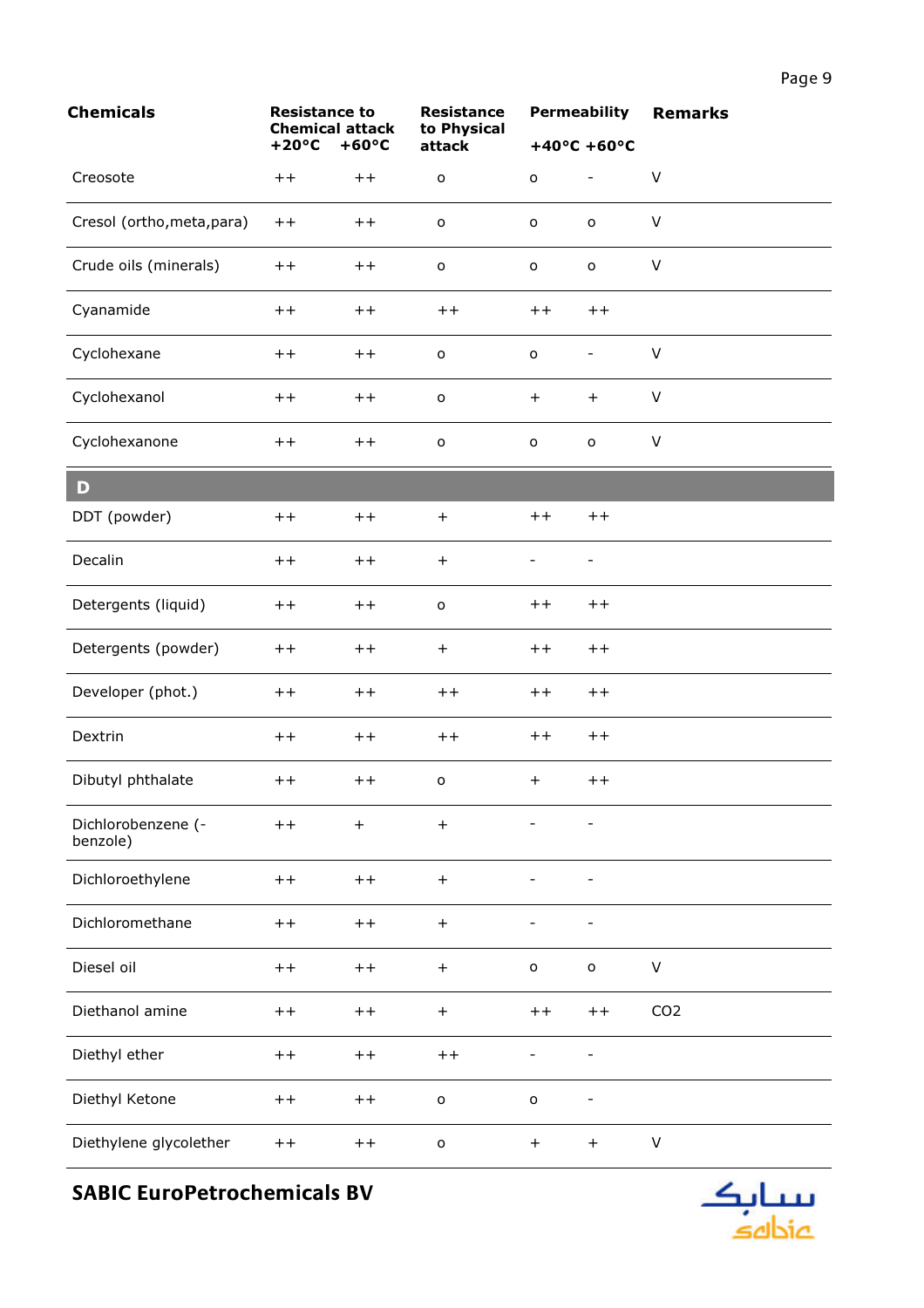| <b>Chemicals</b>               | <b>Resistance to</b><br><b>Chemical attack</b> |                  | <b>Resistance</b><br>to Physical |                          | <b>Permeability</b>              | <b>Remarks</b>  |
|--------------------------------|------------------------------------------------|------------------|----------------------------------|--------------------------|----------------------------------|-----------------|
|                                | $+20^{\circ}C$                                 | $+60^{\circ}C$   | attack                           |                          | $+40^{\circ}$ C +60°C            |                 |
| Creosote                       | $++$                                           | $+ +$            | $\mathsf{o}$                     | $\mathsf{o}\xspace$      | $\overline{\phantom{0}}$         | V               |
| Cresol (ortho, meta, para)     | $++$                                           | $+ +$            | $\mathsf{o}$                     | o                        | $\mathsf{o}$                     | $\vee$          |
| Crude oils (minerals)          | $++$                                           | $+ +$            | $\mathsf{o}$                     | o                        | $\mathsf{o}$                     | $\vee$          |
| Cyanamide                      | $++$                                           | $+ +$            | $++$                             | $+ +$                    | $+ +$                            |                 |
| Cyclohexane                    | $+ +$                                          | $+ +$            | $\mathsf{o}$                     | $\circ$                  | $\qquad \qquad -$                | $\sf V$         |
| Cyclohexanol                   | $+ +$                                          | $+ +$            | $\mathsf{o}$                     | $+$                      | $\ddot{}$                        | $\sf V$         |
| Cyclohexanone                  | $+ +$                                          | $++$             | $\mathsf{o}\xspace$              | $\mathsf{o}\,$           | $\mathsf{o}$                     | $\vee$          |
| D                              |                                                |                  |                                  |                          |                                  |                 |
| DDT (powder)                   | $++$                                           | $++$             | $+$                              | $++$                     | $++$                             |                 |
| Decalin                        | $++$                                           | $++$             | $+$                              |                          |                                  |                 |
| Detergents (liquid)            | $+ +$                                          | $++$             | $\mathsf{o}$                     | $+ +$                    | $++$                             |                 |
| Detergents (powder)            | $++$                                           | $++$             | $\ddot{}$                        | $+ +$                    | $++$                             |                 |
| Developer (phot.)              | $++$                                           | $+ +$            | $++$                             | $+ +$                    | $++$                             |                 |
| Dextrin                        | $+ +$                                          | $+ +$            | $++$                             | $+ +$                    | $++$                             |                 |
| Dibutyl phthalate              | $^{\mathrm{+}}$                                | $++$             | o                                | $+$                      | $++$                             |                 |
| Dichlorobenzene (-<br>benzole) | $+ +$                                          | $\boldsymbol{+}$ | $\qquad \qquad +$                |                          | $\qquad \qquad -$                |                 |
| Dichloroethylene               | $+ +$                                          | $++$             | $\boldsymbol{+}$                 | $\overline{\phantom{0}}$ | $\qquad \qquad \blacksquare$     |                 |
| Dichloromethane                | $++$                                           | $+ +$            | $\begin{array}{c} + \end{array}$ |                          |                                  |                 |
| Diesel oil                     | $++$                                           | $+ +$            | $\begin{array}{c} + \end{array}$ | $\mathsf{o}\,$           | $\mathbf{o}$                     | $\sf V$         |
| Diethanol amine                | $++$                                           | $+ +$            | $+$                              | $++$                     | $+ +$                            | CO <sub>2</sub> |
| Diethyl ether                  | $++$                                           | $+ +$            | $+ +$                            |                          |                                  |                 |
| Diethyl Ketone                 | $+ +$                                          | $+ +$            | $\mathsf{o}$                     | $\mathsf{o}\xspace$      | $\overline{\phantom{0}}$         |                 |
| Diethylene glycolether         | $++$                                           | $+ +$            | $\mathsf{o}$                     | $+$                      | $\begin{array}{c} + \end{array}$ | V               |

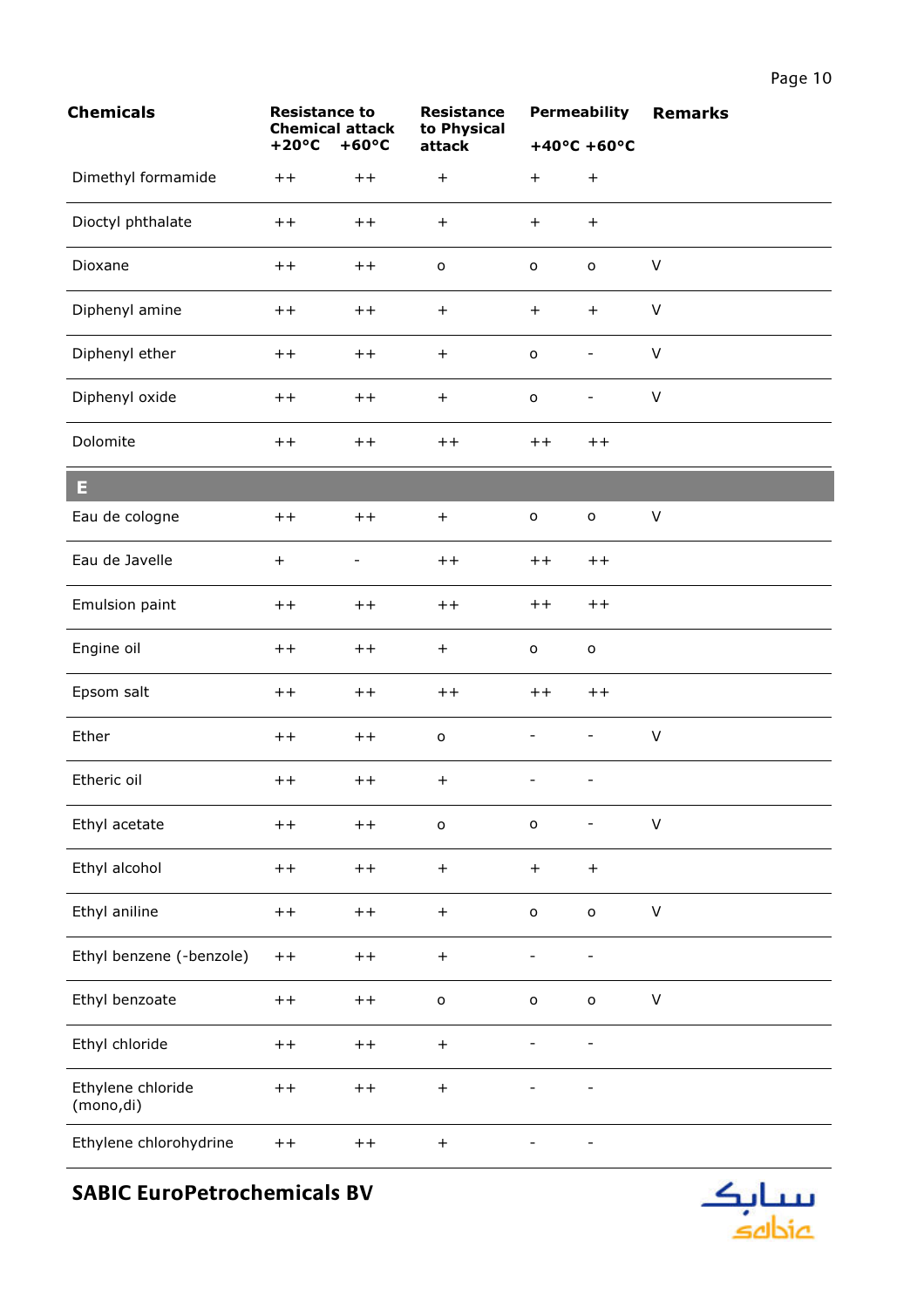| <b>Chemicals</b>               | <b>Resistance to</b><br><b>Chemical attack</b> |                          | <b>Resistance</b><br>to Physical |                              | <b>Permeability</b>          | <b>Remarks</b> |
|--------------------------------|------------------------------------------------|--------------------------|----------------------------------|------------------------------|------------------------------|----------------|
|                                | $+20^{\circ}C$                                 | $+60^{\circ}C$           | attack                           |                              | $+40^{\circ}$ C +60°C        |                |
| Dimethyl formamide             | $++$                                           | $++$                     | $\ddot{}$                        | $\ddot{}$                    | $+$                          |                |
| Dioctyl phthalate              | $++$                                           | $++$                     | $\ddot{}$                        | $\ddot{}$                    | $+$                          |                |
| Dioxane                        | $++$                                           | $++$                     | $\mathsf{o}$                     | $\mathsf{o}$                 | $\mathsf{o}$                 | $\sf V$        |
| Diphenyl amine                 | $++$                                           | $++$                     | $\ddot{}$                        | $\qquad \qquad +$            | $+$                          | $\vee$         |
| Diphenyl ether                 | $+ +$                                          | $++$                     | $\ddot{}$                        | $\mathsf{o}$                 | $\overline{\phantom{a}}$     | V              |
| Diphenyl oxide                 | $++$                                           | $++$                     | $\begin{array}{c} + \end{array}$ | $\mathsf{o}$                 | $\qquad \qquad -$            | $\mathsf V$    |
| Dolomite                       | $++$                                           | $++$                     | $+ +$                            | $++$                         | $++$                         |                |
| Ε                              |                                                |                          |                                  |                              |                              |                |
| Eau de cologne                 | $++$                                           | $++$                     | $\ddot{}$                        | $\mathsf{o}$                 | $\mathsf{o}$                 | $\sf V$        |
| Eau de Javelle                 | $\qquad \qquad +$                              | $\overline{\phantom{0}}$ | $++$                             | $++$                         | $++$                         |                |
| Emulsion paint                 | $+ +$                                          | $++$                     | $++$                             | $+ +$                        | $++$                         |                |
| Engine oil                     | $++$                                           | $++$                     | $\ddot{}$                        | o                            | $\mathsf{o}$                 |                |
| Epsom salt                     | $+ +$                                          | $++$                     | $+ +$                            | $++$                         | $++$                         |                |
| Ether                          | $++$                                           | $++$                     | $\mathsf{o}$                     | $\overline{\phantom{0}}$     | $\overline{\phantom{a}}$     | $\sf V$        |
| Etheric oil                    | $++$                                           | $++$                     | $\ddot{}$                        |                              |                              |                |
| Ethyl acetate                  | $++$                                           | $++$                     | $\mathsf{o}$                     | $\mathsf{o}$                 | $\overline{\phantom{a}}$     | $\sf V$        |
| Ethyl alcohol                  | $++$                                           | $++$                     | $\begin{array}{c} + \end{array}$ | $\qquad \qquad +$            | $+$                          |                |
| Ethyl aniline                  | $++$                                           | $++$                     | $\begin{array}{c} + \end{array}$ | $\mathsf{o}$                 | $\mathsf{o}$                 | $\sf V$        |
| Ethyl benzene (-benzole)       | $++$                                           | $++$                     | $\boldsymbol{+}$                 | $\overline{\phantom{0}}$     | $\overline{\phantom{0}}$     |                |
| Ethyl benzoate                 | $++$                                           | $++$                     | $\mathsf{o}$                     | $\mathsf{o}$                 | $\mathsf{o}$                 | V              |
| Ethyl chloride                 | $++$                                           | $++$                     | $\ddot{}$                        | $\qquad \qquad \blacksquare$ | $\qquad \qquad \blacksquare$ |                |
| Ethylene chloride<br>(mono,di) | $++$                                           | $++$                     | $\begin{array}{c} + \end{array}$ |                              |                              |                |
| Ethylene chlorohydrine         | $+ +$                                          | $+ +$                    | $\ddot{}$                        |                              |                              |                |

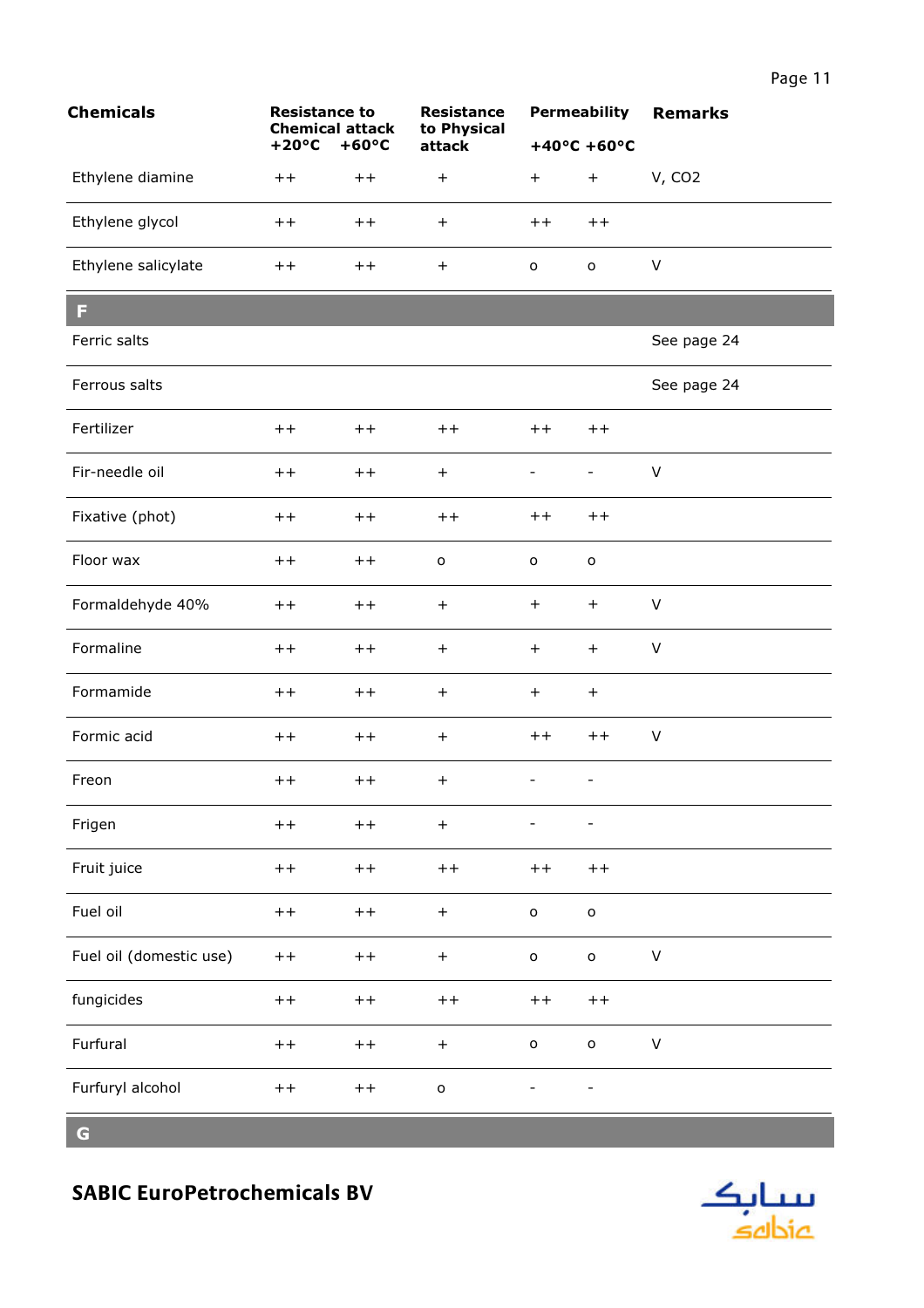| <b>Chemicals</b>        | <b>Resistance to</b><br><b>Chemical attack</b> |                | <b>Resistance</b><br>to Physical |                          | <b>Permeability</b>              | <b>Remarks</b> |
|-------------------------|------------------------------------------------|----------------|----------------------------------|--------------------------|----------------------------------|----------------|
|                         | $+20^{\circ}C$                                 | $+60^{\circ}C$ | attack                           |                          | $+40^{\circ}$ C +60°C            |                |
| Ethylene diamine        | $+ +$                                          | $++$           | $\qquad \qquad +$                | $+$                      | $\begin{array}{c} + \end{array}$ | <b>V, CO2</b>  |
| Ethylene glycol         | $++$                                           | $++$           | $\boldsymbol{+}$                 | $++$                     | $++$                             |                |
| Ethylene salicylate     | $++$                                           | $++$           | $\! + \!$                        | o                        | $\mathsf{o}$                     | $\sf V$        |
| F                       |                                                |                |                                  |                          |                                  |                |
| Ferric salts            |                                                |                |                                  |                          |                                  | See page 24    |
| Ferrous salts           |                                                |                |                                  |                          |                                  | See page 24    |
| Fertilizer              | $++$                                           | $++$           | $++$                             | $++$                     | $++$                             |                |
| Fir-needle oil          | $+ +$                                          | $++$           | $\boldsymbol{+}$                 | $\overline{\phantom{0}}$ | $\overline{\phantom{0}}$         | $\sf V$        |
| Fixative (phot)         | $^{\mathrm{+}}$                                | $++$           | $++$                             | $++$                     | $++$                             |                |
| Floor wax               | $++$                                           | $++$           | $\mathsf{o}$                     | $\circ$                  | $\mathsf{o}$                     |                |
| Formaldehyde 40%        | $++$                                           | $++$           | $\ddot{}$                        | $+$                      | $+$                              | V              |
| Formaline               | $+ +$                                          | $++$           | $\ddot{}$                        | $+$                      | $+$                              | $\sf V$        |
| Formamide               | $+ +$                                          | $++$           | $+$                              | $+$                      | $+$                              |                |
| Formic acid             | $+ +$                                          | $++$           | $+$                              | $++$                     | $++$                             | $\sf V$        |
| Freon                   | $+ +$                                          | $++$           | $\ddot{}$                        |                          |                                  |                |
| Frigen                  | $++$                                           | $++$           | $\boldsymbol{+}$                 | $\overline{a}$           | ÷,                               |                |
| Fruit juice             | $++$                                           | $+ +$          | $+ +$                            | $++$                     | $++$                             |                |
| Fuel oil                | $++$                                           | $+ +$          | $\boldsymbol{+}$                 | $\mathsf{o}$             | $\mathsf{o}$                     |                |
| Fuel oil (domestic use) | $++$                                           | $++$           | $\qquad \qquad +$                | $\mathsf{o}$             | $\mathsf{o}$                     | $\sf V$        |
| fungicides              | $++$                                           | $++$           | $++$                             | $++$                     | $+ +$                            |                |
| Furfural                | $++$                                           | $+ +$          | $\boldsymbol{+}$                 | $\mathsf{o}$             | $\mathsf{o}$                     | V              |
| Furfuryl alcohol        | $++$                                           | $+ +$          | $\mathsf{o}$                     |                          |                                  |                |

 $\overline{G}$ 

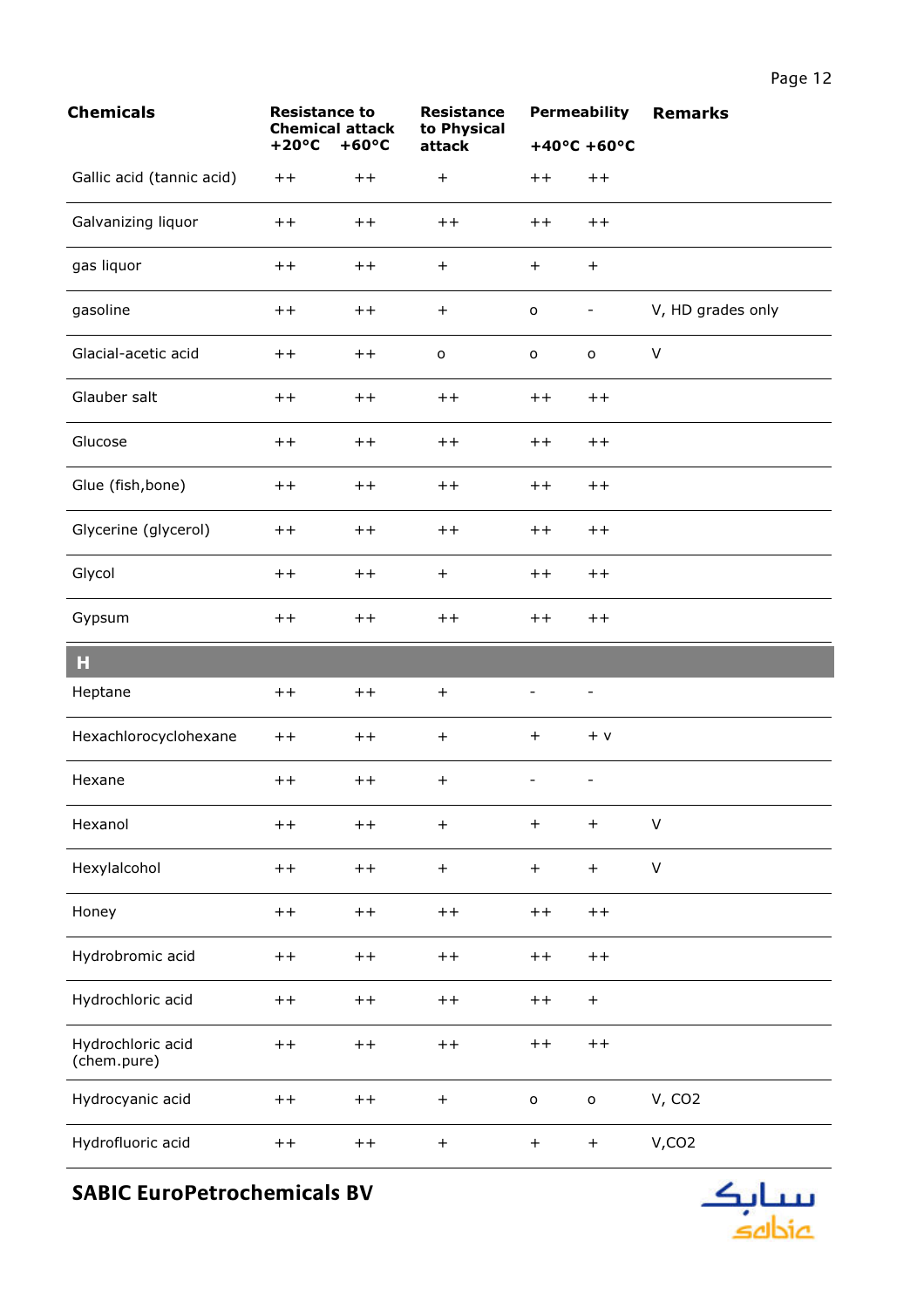| <b>Chemicals</b>                 | <b>Resistance to</b><br><b>Chemical attack</b> |                 | <b>Resistance</b><br>to Physical |                     | <b>Permeability</b>      | <b>Remarks</b>    |
|----------------------------------|------------------------------------------------|-----------------|----------------------------------|---------------------|--------------------------|-------------------|
|                                  | $+20^{\circ}C$                                 | $+60^{\circ}C$  | attack                           |                     | $+40^{\circ}$ C +60°C    |                   |
| Gallic acid (tannic acid)        | $++$                                           | $^{\mathrm{+}}$ | $^{+}$                           | $++$                | $++$                     |                   |
| Galvanizing liquor               | $++$                                           | $++$            | $++$                             | $+ +$               | $+ +$                    |                   |
| gas liquor                       | $+ +$                                          | $++$            | $^{+}$                           | $+$                 | $+$                      |                   |
| gasoline                         | $+ +$                                          | $++$            | $+$                              | $\mathsf{o}\xspace$ | -                        | V, HD grades only |
| Glacial-acetic acid              | $++$                                           | $++$            | $\mathsf{o}$                     | $\mathsf{o}\xspace$ | $\mathsf{o}$             | $\vee$            |
| Glauber salt                     | $+ +$                                          | $+ +$           | $+ +$                            | $++$                | $+ +$                    |                   |
| Glucose                          | $+ +$                                          | $++$            | $+ +$                            | $+ +$               | $+ +$                    |                   |
| Glue (fish, bone)                | $++$                                           | $++$            | $++$                             | $++$                | $+ +$                    |                   |
| Glycerine (glycerol)             | $+ +$                                          | $++$            | $++$                             | $+ +$               | $+ +$                    |                   |
| Glycol                           | $++$                                           | $++$            | $+$                              | $++$                | $+ +$                    |                   |
| Gypsum                           | $+ +$                                          | $++$            | $++$                             | $+ +$               | $+ +$                    |                   |
| н                                |                                                |                 |                                  |                     |                          |                   |
| Heptane                          | $++$                                           | $+ +$           | $+$                              |                     |                          |                   |
| Hexachlorocyclohexane            | $+ +$                                          | $++$            | $^{+}$                           | $\ddot{}$           | $+$ v                    |                   |
| Hexane                           | $+ +$                                          | $++$            | $+$                              | $\qquad \qquad -$   | $\overline{\phantom{0}}$ |                   |
| Hexanol                          | $++$                                           | $++$            | $+$                              | $+$                 | $\ddot{}$                | $\vee$            |
| Hexylalcohol                     | $+ +$                                          | $++$            | $\boldsymbol{+}$                 | $+$                 | $+$                      | $\mathsf{V}$      |
| Honey                            | $+ +$                                          | $++$            | $+ +$                            | $+ +$               | $+ +$                    |                   |
| Hydrobromic acid                 | $+ +$                                          | $++$            | $++$                             | $+ +$               | $++$                     |                   |
| Hydrochloric acid                | $+ +$                                          | $++$            | $+ +$                            | $++$                | $+$                      |                   |
| Hydrochloric acid<br>(chem.pure) | $+ +$                                          | $++$            | $++$                             | $++$                | $+ +$                    |                   |
| Hydrocyanic acid                 | $+ +$                                          | $++$            | $+$                              | $\mathsf{o}$        | $\mathsf{o}$             | V, CO2            |
| Hydrofluoric acid                | $++$                                           | $+ +$           | $+$                              | $+$                 | $+$                      | V, CO2            |

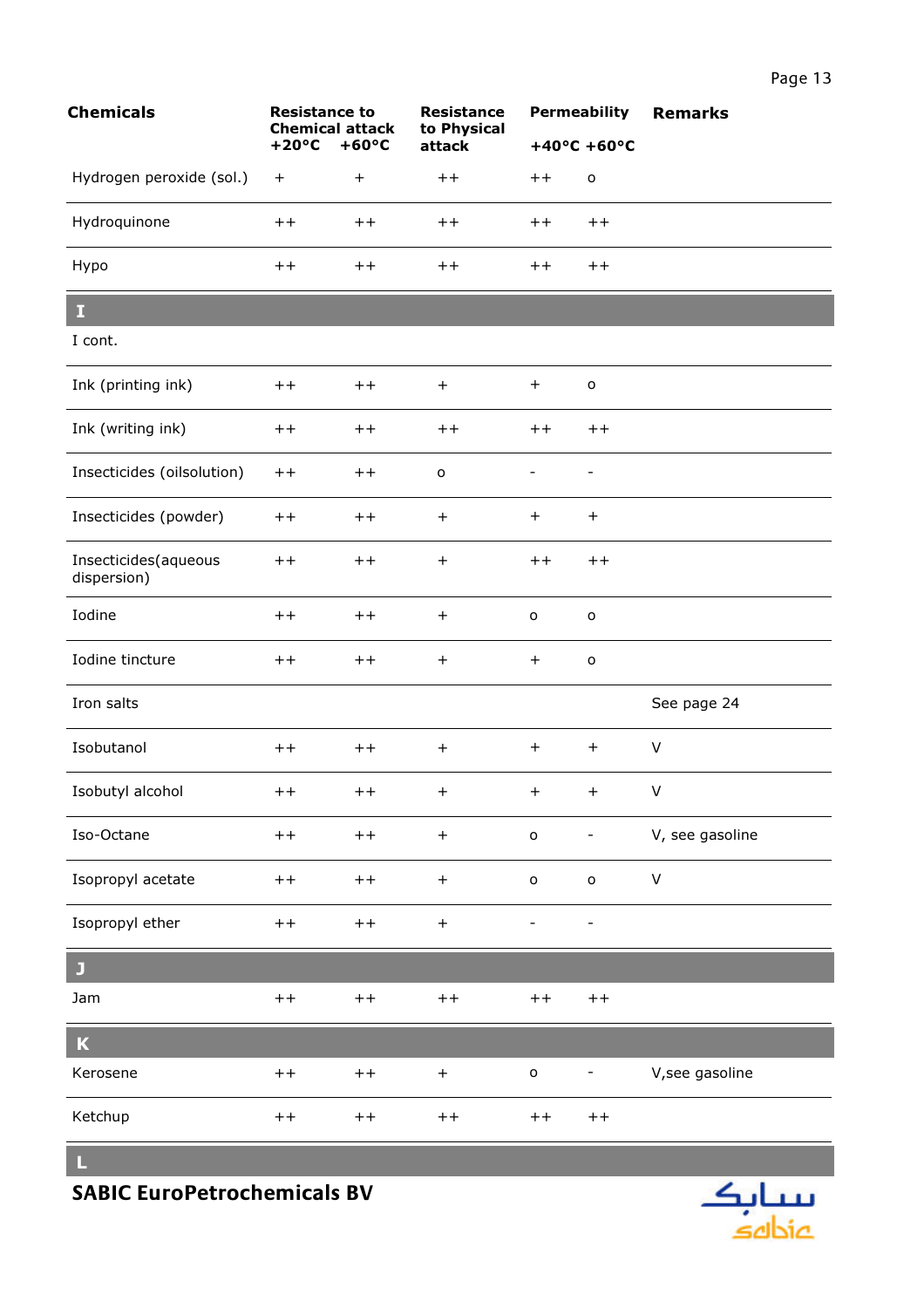| k | <b>Resistance</b><br>to Physical |           |                       | <b>Permeability Remarks</b> |  |  |  |
|---|----------------------------------|-----------|-----------------------|-----------------------------|--|--|--|
| J | attack                           |           | $+40^{\circ}$ C +60°C |                             |  |  |  |
|   | $++$                             | $++$      | o                     |                             |  |  |  |
|   | $+ +$                            | $++$ $++$ |                       |                             |  |  |  |
|   | $+ +$                            | $++$      | $+ +$                 |                             |  |  |  |
|   |                                  |           |                       |                             |  |  |  |
|   |                                  |           |                       |                             |  |  |  |
|   | $\ddot{}$                        | $^{+}$    | o                     |                             |  |  |  |
|   | $+ +$                            | $++$ $++$ |                       |                             |  |  |  |
|   | o                                |           | -                     |                             |  |  |  |

|                                     | <b>Chemical attack</b><br>$+20^{\circ}$ C | $+60^{\circ}C$ | to Physical<br>attack | $+40^{\circ}$ C +60°C    |                          |                 |
|-------------------------------------|-------------------------------------------|----------------|-----------------------|--------------------------|--------------------------|-----------------|
| Hydrogen peroxide (sol.)            | $\ddot{}$                                 | $^{+}$         | $++$                  | $++$                     | $\mathbf{o}$             |                 |
| Hydroquinone                        | $++$                                      | $++$           | $++$                  | $++$                     | $++$                     |                 |
| Hypo                                | $++$                                      | $++$           | $+ +$                 | $+ +$                    | $++$                     |                 |
| I                                   |                                           |                |                       |                          |                          |                 |
| I cont.                             |                                           |                |                       |                          |                          |                 |
| Ink (printing ink)                  | $++$                                      | $++$           | $+$                   | $+$                      | $\mathsf{o}$             |                 |
| Ink (writing ink)                   | $+ +$                                     | $++$           | $+ +$                 | $++$                     | $++$                     |                 |
| Insecticides (oilsolution)          | $++$                                      | $++$           | $\mathsf{o}$          | $\overline{\phantom{0}}$ | $\overline{\phantom{0}}$ |                 |
| Insecticides (powder)               | $++$                                      | $++$           | $\ddot{}$             | $+$                      | $+$                      |                 |
| Insecticides(aqueous<br>dispersion) | $++$                                      | $++$           | $^{+}$                | $+ +$                    | $++$                     |                 |
| Iodine                              | $+ +$                                     | $++$           | $\! + \!$             | $\mathsf{o}$             | $\mathbf{o}$             |                 |
| Iodine tincture                     | $+ +$                                     | $++$           | $\! + \!$             | $+$                      | $\mathsf{o}$             |                 |
| Iron salts                          |                                           |                |                       |                          |                          | See page 24     |
| Isobutanol                          | $++$                                      | $++$           | $^{+}$                | $+$                      | $+$                      | $\vee$          |
| Isobutyl alcohol                    | $++$                                      | $++$           | $^{+}$                | $+$                      | $+$                      | $\vee$          |
| Iso-Octane                          | $++$                                      | $+ +$          | $\! + \!$             | $\mathsf{o}$             | $\overline{\phantom{0}}$ | V, see gasoline |
| Isopropyl acetate                   | $++$                                      | $+ +$          | $\boldsymbol{+}$      | $\mathsf{o}$             | $\mathsf{o}$             | $\mathsf V$     |
| Isopropyl ether                     | $++$                                      | $++$           | $\boldsymbol{+}$      |                          |                          |                 |
|                                     |                                           |                |                       |                          |                          |                 |

 $\mathbf{J}$ Jam  $++$  $++$  $++$  $++$  $++$  $\overline{\mathbf{K}}$ Kerosene V, see gasoline  $++$  $++$  $+$  $\mathtt{o}$  $\omega$ 

Ketchup  $++$  $++$  $++$  $++$  $++$ 

L,

**Chemicals** 

**Resistance to** 

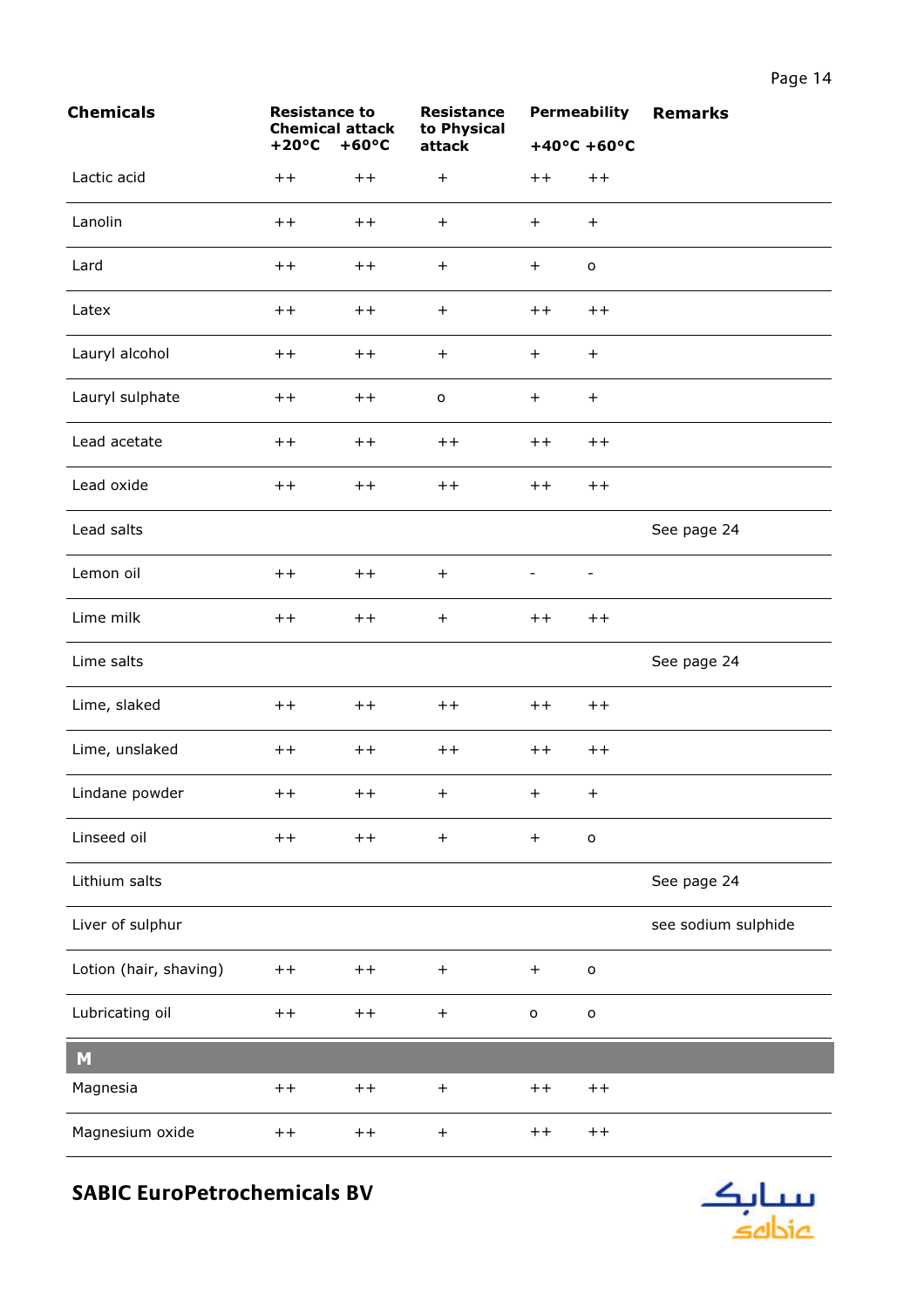| <b>Chemicals</b>       | <b>Resistance to</b><br><b>Chemical attack</b> |                | <b>Resistance</b><br>to Physical |                  | <b>Permeability</b>   | <b>Remarks</b>      |
|------------------------|------------------------------------------------|----------------|----------------------------------|------------------|-----------------------|---------------------|
|                        | $+20^{\circ}C$                                 | $+60^{\circ}C$ | attack                           |                  | $+40^{\circ}$ C +60°C |                     |
| Lactic acid            | $+ +$                                          | $++$           | $\ddot{}$                        | $+ +$            | $++$                  |                     |
| Lanolin                | $+ +$                                          | $++$           | $\ddot{}$                        | $+$              | $+$                   |                     |
| Lard                   | $++$                                           | $++$           | $\ddot{}$                        | $\boldsymbol{+}$ | $\mathsf{o}$          |                     |
| Latex                  | $+ +$                                          | $++$           | $\ddot{}$                        | $+ +$            | $++$                  |                     |
| Lauryl alcohol         | $+ +$                                          | $++$           | $\ddot{}$                        | $+$              | $+$                   |                     |
| Lauryl sulphate        | $+ +$                                          | $++$           | $\mathsf{o}$                     | $+$              | $+$                   |                     |
| Lead acetate           | $++$                                           | $++$           | $++$                             | $++$             | $++$                  |                     |
| Lead oxide             | $+ +$                                          | $++$           | $+ +$                            | $+ +$            | $++$                  |                     |
| Lead salts             |                                                |                |                                  |                  |                       | See page 24         |
| Lemon oil              | $+ +$                                          | $++$           | $\ddot{}$                        |                  |                       |                     |
| Lime milk              | $+ +$                                          | $++$           | $\ddot{}$                        | $++$             | $++$                  |                     |
| Lime salts             |                                                |                |                                  |                  |                       | See page 24         |
| Lime, slaked           | $++$                                           | $++$           | $+ +$                            | $+ +$            | $++$                  |                     |
| Lime, unslaked         | $+ +$                                          | $++$           | $+ +$                            | $+ +$            | $++$                  |                     |
| Lindane powder         | $++$                                           | $++$           | $+$                              | $+$ $-$          | $+$                   |                     |
| Linseed oil            | $++$                                           | $++$           | $+$                              | $+$              | $\mathsf{o}$          |                     |
| Lithium salts          |                                                |                |                                  |                  |                       | See page 24         |
| Liver of sulphur       |                                                |                |                                  |                  |                       | see sodium sulphide |
| Lotion (hair, shaving) | $+ +$                                          | $++$           | $\ddot{}$                        | $\boldsymbol{+}$ | $\mathsf{o}$          |                     |
| Lubricating oil        | $+ +$                                          | $++$           | $\ddot{}$                        | $\mathsf{o}$     | $\mathsf{o}$          |                     |
| M                      |                                                |                |                                  |                  |                       |                     |
| Magnesia               | $+ +$                                          | $++$           | $\begin{array}{c} + \end{array}$ | $+ +$            | $++$                  |                     |
| Magnesium oxide        | $++$                                           | $++$           | $\ddot{}$                        | $++$             | $+ +$                 |                     |

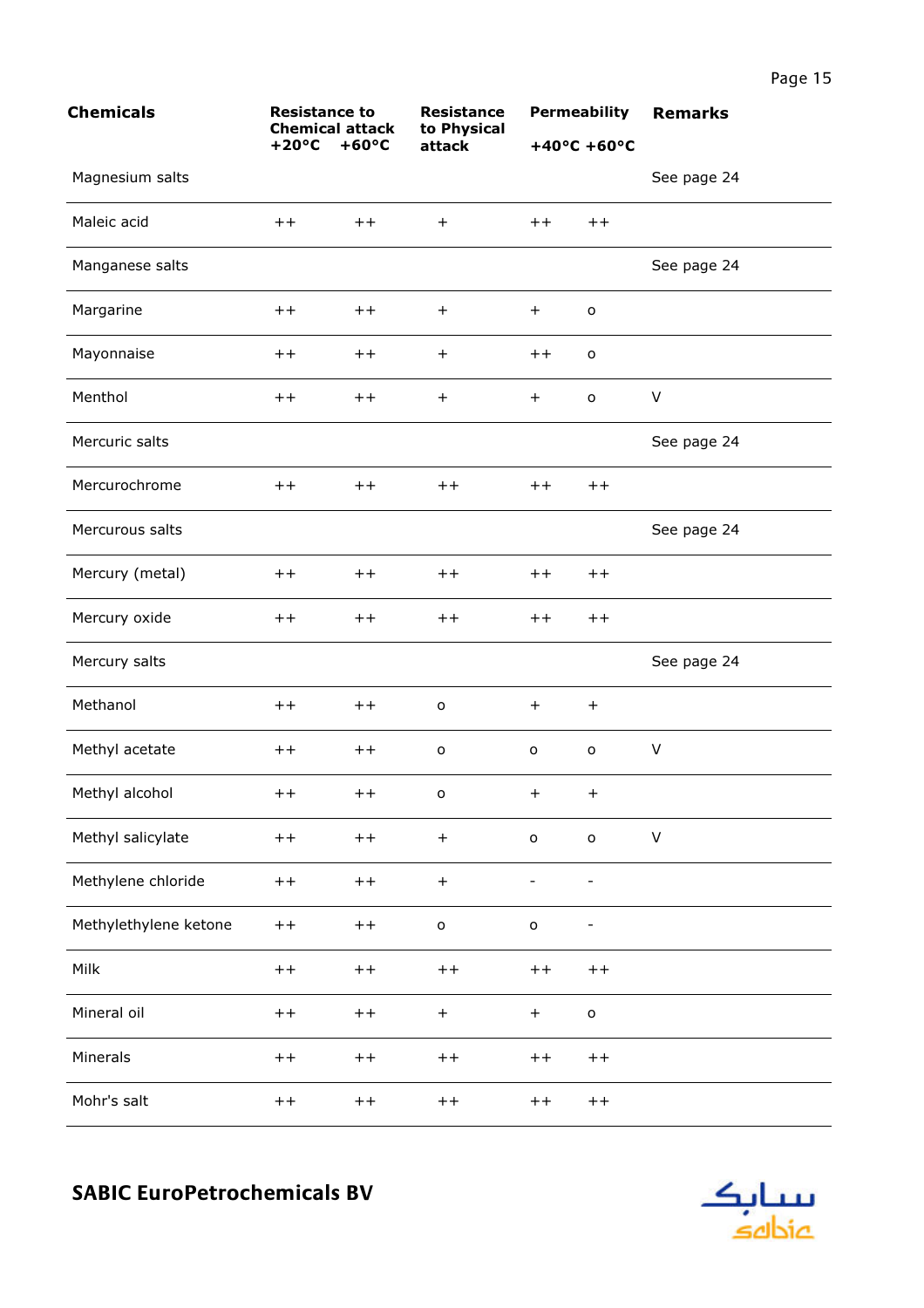| <b>Chemicals</b>      | <b>Resistance to</b><br><b>Chemical attack</b><br>$+20^{\circ}C$<br>$+60^{\circ}C$ |       | <b>Resistance</b><br>to Physical | <b>Permeability</b>   |              | <b>Remarks</b> |
|-----------------------|------------------------------------------------------------------------------------|-------|----------------------------------|-----------------------|--------------|----------------|
|                       |                                                                                    |       | attack                           | $+40^{\circ}$ C +60°C |              |                |
| Magnesium salts       |                                                                                    |       |                                  |                       |              | See page 24    |
| Maleic acid           | $+ +$                                                                              | $+ +$ | $\ddot{}$                        | $+ +$                 | $++$         |                |
| Manganese salts       |                                                                                    |       |                                  |                       |              | See page 24    |
| Margarine             | $^{\mathrm{+}}$                                                                    | $+ +$ | $\ddot{}$                        | $\ddot{}$             | $\mathsf{o}$ |                |
| Mayonnaise            | $++$                                                                               | $++$  | $+$                              | $+ +$                 | o            |                |
| Menthol               | $++$                                                                               | $+ +$ | $+$                              | $+$                   | $\mathsf{o}$ | $\sf V$        |
| Mercuric salts        |                                                                                    |       |                                  |                       |              | See page 24    |
| Mercurochrome         | $++$                                                                               | $+ +$ | $++$                             | $+ +$                 | $++$         |                |
| Mercurous salts       |                                                                                    |       |                                  |                       |              | See page 24    |
| Mercury (metal)       | $++$                                                                               | $+ +$ | $++$                             | $++$                  | $+ +$        |                |
| Mercury oxide         | $++$                                                                               | $++$  | $++$                             | $+ +$                 | $++$         |                |
| Mercury salts         |                                                                                    |       |                                  |                       |              | See page 24    |
| Methanol              | $++$                                                                               | $++$  | $\mathsf{o}$                     | $+$                   | $+$          |                |
| Methyl acetate        | $++$                                                                               | $+ +$ | $\mathsf{o}$                     | $\mathsf{o}\,$        | $\mathsf{o}$ | $\sf V$        |
| Methyl alcohol        | $++$                                                                               | $++$  | $\overline{O}$                   | $+$                   | $+$          |                |
| Methyl salicylate     | $+ +$                                                                              | $++$  | $+$                              | $\mathsf{o}$          | $\mathsf{o}$ | $\sf V$        |
| Methylene chloride    | $++$                                                                               | $++$  | $\boldsymbol{+}$                 |                       |              |                |
| Methylethylene ketone | $+ +$                                                                              | $+ +$ | $\mathsf{o}$                     | $\mathsf{o}$          | -            |                |
| Milk                  | $+ +$                                                                              | $++$  | $++$                             | $++$                  | $++$         |                |
| Mineral oil           | $++$                                                                               | $++$  | $+$                              | $+$                   | $\mathsf{o}$ |                |
| Minerals              | $+ +$                                                                              | $++$  | $+ +$                            | $++$                  | $++$         |                |
| Mohr's salt           | $++$                                                                               | $+ +$ | $++$                             | $++$                  | $++$         |                |

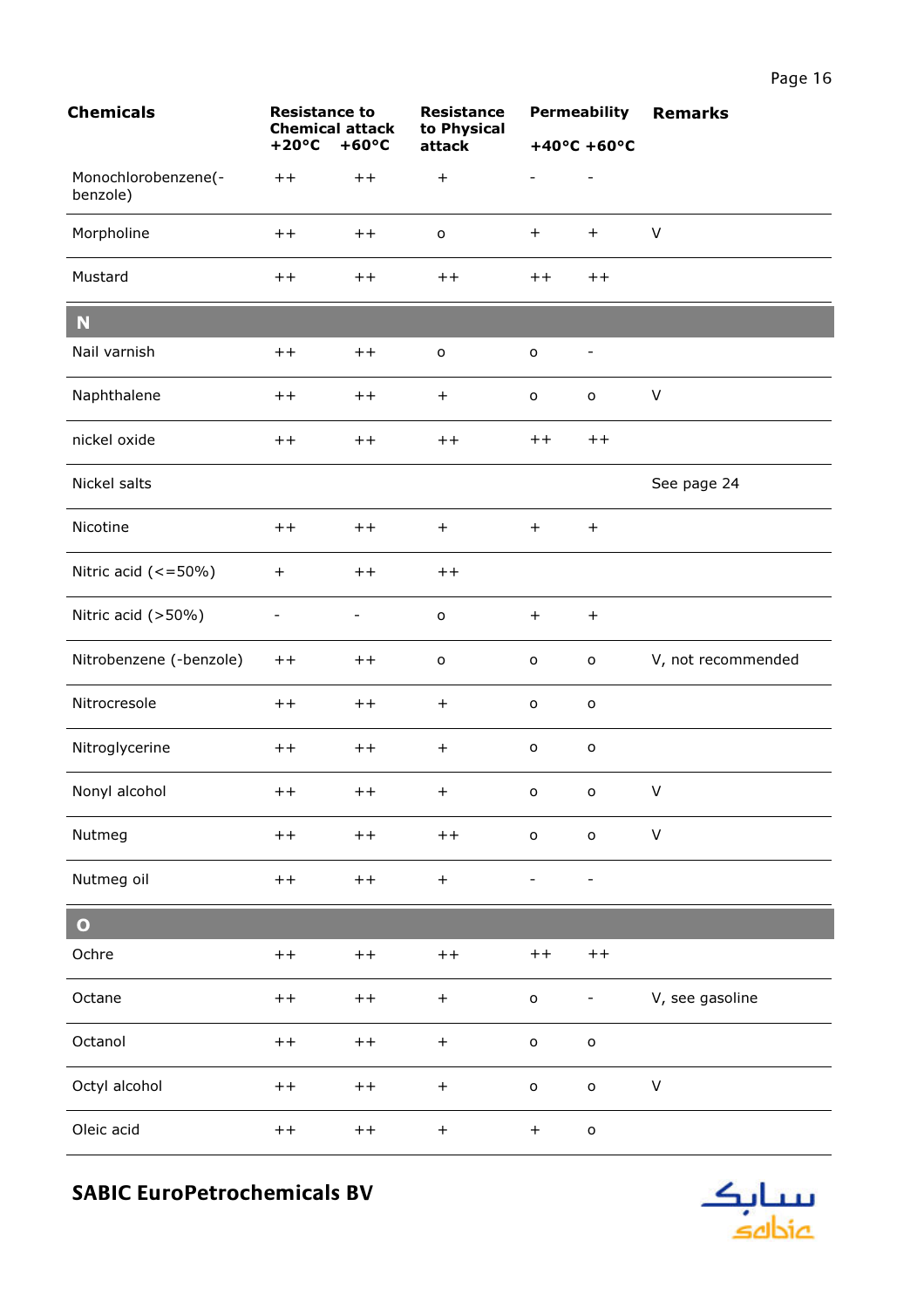| <b>Chemicals</b>                | <b>Resistance to</b><br><b>Chemical attack</b> |                | <b>Resistance</b><br>to Physical |                | <b>Permeability</b>      | <b>Remarks</b>     |
|---------------------------------|------------------------------------------------|----------------|----------------------------------|----------------|--------------------------|--------------------|
|                                 | $+20^{\circ}C$                                 | $+60^{\circ}C$ | attack                           |                | $+40^{\circ}$ C +60°C    |                    |
| Monochlorobenzene(-<br>benzole) | $+ +$                                          | $+ +$          | $+$                              |                |                          |                    |
| Morpholine                      | $++$                                           | $++$           | $\mathsf{o}$                     | $+$            | $+$                      | $\vee$             |
| Mustard                         | $+ +$                                          | $++$           | $++$                             | $+ +$          | $++$                     |                    |
| N                               |                                                |                |                                  |                |                          |                    |
| Nail varnish                    | $++$                                           | $++$           | $\mathsf{o}$                     | $\mathsf{o}$   | $\overline{\phantom{a}}$ |                    |
| Naphthalene                     | $+ +$                                          | $++$           | $+$                              | o              | $\mathsf{o}$             | $\vee$             |
| nickel oxide                    | $++$                                           | $++$           | $++$                             | $++$           | $++$                     |                    |
| Nickel salts                    |                                                |                |                                  |                |                          | See page 24        |
| Nicotine                        | $+ +$                                          | $++$           | $+$                              | $+$            | $+$                      |                    |
| Nitric acid $(<=50\%)$          | $\ddot{}$                                      | $++$           | $++$                             |                |                          |                    |
| Nitric acid (>50%)              | $\overline{\phantom{0}}$                       | -              | $\mathsf{o}$                     | $+$            | $+$                      |                    |
| Nitrobenzene (-benzole)         | $++$                                           | $++$           | $\mathsf{o}$                     | o              | $\mathsf{o}$             | V, not recommended |
| Nitrocresole                    | $+ +$                                          | $++$           | $+$                              | $\mathsf{o}\,$ | $\mathsf{o}\,$           |                    |
| Nitroglycerine                  | $++$                                           | $++$           | $+$                              | $\mathsf{o}$   | $\mathsf{o}\,$           |                    |
| Nonyl alcohol                   | $++$                                           | $++$           | $+$                              |                | $\circ$ $\circ$          | V                  |
| Nutmeg                          | $++$                                           | $++$           | $+ +$                            | $\mathsf{o}$   | $\mathsf{o}$             | $\sf V$            |
| Nutmeg oil                      | $++$                                           | $+ +$          | $\boldsymbol{+}$                 |                |                          |                    |
| $\bullet$                       |                                                |                |                                  |                |                          |                    |
| Ochre                           | $++$                                           | $+ +$          | $+ +$                            | $++$           | $+ +$                    |                    |
| Octane                          | $++$                                           | $++$           | $+$                              | $\mathsf{o}$   | -                        | V, see gasoline    |
| Octanol                         | $++$                                           | $++$           | $\boldsymbol{+}$                 | $\mathsf{o}$   | $\mathsf{o}$             |                    |
| Octyl alcohol                   | $+ +$                                          | $++$           | $+$                              | $\mathsf{o}$   | $\mathsf{o}$             | V                  |
| Oleic acid                      | $++$                                           | $++$           | $\begin{array}{c} + \end{array}$ | $+$            | $\mathsf{o}$             |                    |

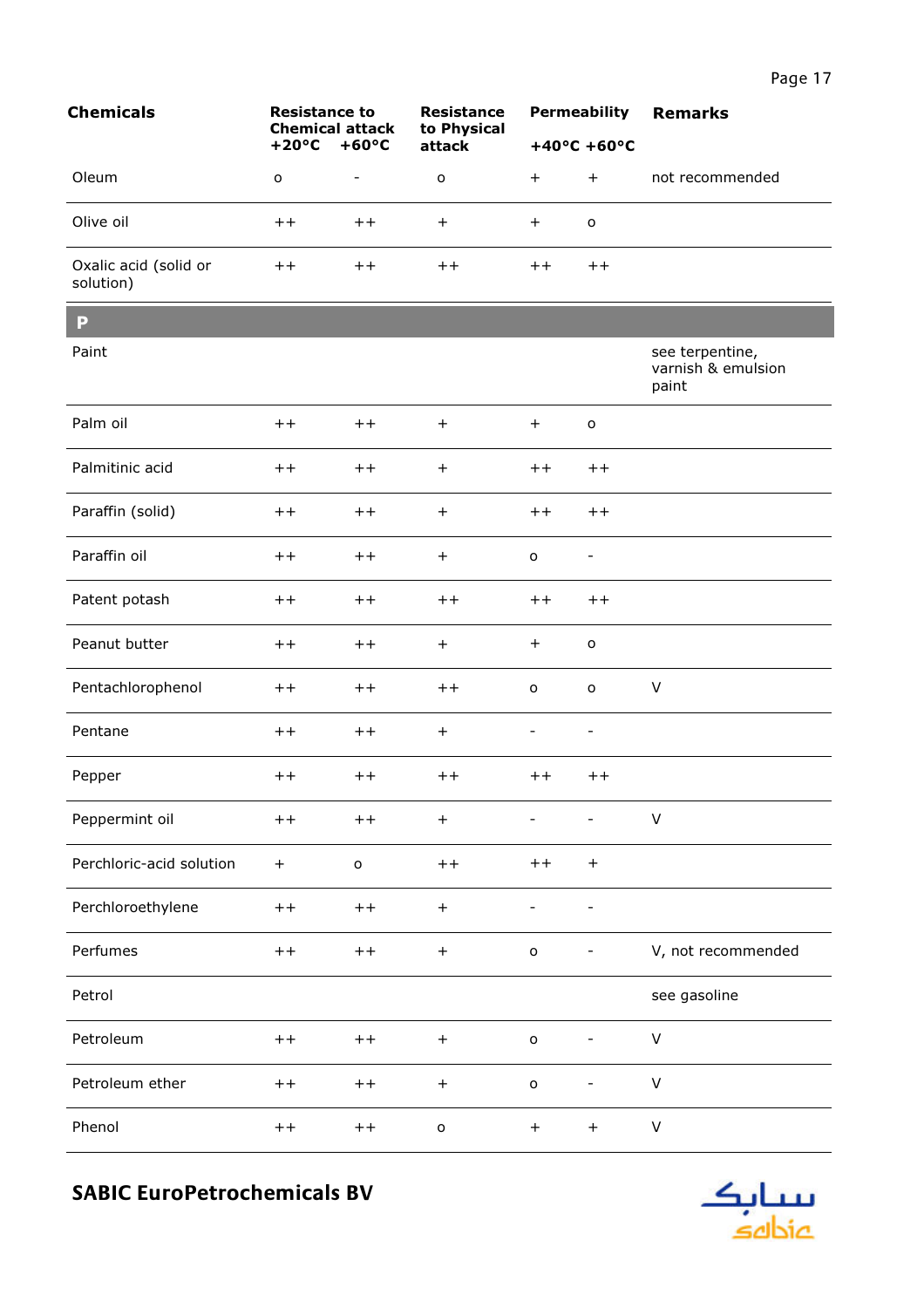<u> 1989 - Johann Stoff, deutscher Stoffen und der Stoffen und der Stoffen und der Stoffen und der Stoffen und der</u>

|                                    | $+20^{\circ}$ C $+60^{\circ}$ C |                          | attack          |                 | $+40^{\circ}$ C +60 $^{\circ}$ C |                 |
|------------------------------------|---------------------------------|--------------------------|-----------------|-----------------|----------------------------------|-----------------|
| Oleum                              | o                               | $\overline{\phantom{a}}$ | o               | $\pm$           | $^{+}$                           | not recommended |
| Olive oil                          | $^{\mathrm{+}}$                 | $^{\mathrm{+}}$          | $\pm$           | $+$             | $\circ$                          |                 |
| Oxalic acid (solid or<br>solution) | $^{\mathrm{+}}$                 | $^{\mathrm{+}}$          | $^{\mathrm{+}}$ | $^{\mathrm{+}}$ | $^{\mathrm{+}}$                  |                 |

**Resistance** 

Resistance to Resistance<br>Chemical attack to Physical

**Chemicals** 

<u> Tanzania (h. 1888).</u>

| P                        |           |              |                  |                          |                                  |                                                |
|--------------------------|-----------|--------------|------------------|--------------------------|----------------------------------|------------------------------------------------|
| Paint                    |           |              |                  |                          |                                  | see terpentine,<br>varnish & emulsion<br>paint |
| Palm oil                 | $++$      | $++$         | $+$              | $+$                      | $\mathsf{o}\,$                   |                                                |
| Palmitinic acid          | $++$      | $++$         | $+$              | $++$                     | $+ +$                            |                                                |
| Paraffin (solid)         | $++$      | $++$         | $+$              | $++$                     | $++$                             |                                                |
| Paraffin oil             | $++$      | $++$         | $+$              | o                        | $\overline{\phantom{0}}$         |                                                |
| Patent potash            | $++$      | $++$         | $++$             | $++$                     | $++$                             |                                                |
| Peanut butter            | $++$      | $++$         | $+$              | $+$                      | o                                |                                                |
| Pentachlorophenol        | $+ +$     | $++$         | $++$             | $\mathsf{o}\xspace$      | $\mathsf{o}$                     | $\vee$                                         |
| Pentane                  | $++$      | $++$         | $+$              | $\overline{\phantom{a}}$ | $\overline{\phantom{0}}$         |                                                |
| Pepper                   | $++$      | $++$         | $++$             | $+ +$                    | $++$                             |                                                |
| Peppermint oil           | $++$      | $++$         | $+$              | $\overline{\phantom{a}}$ | $\overline{\phantom{0}}$         | $\vee$                                         |
| Perchloric-acid solution | $\ddot{}$ | $\mathsf{o}$ | $++$             | $++$                     | $\ddot{}$                        |                                                |
| Perchloroethylene        | $++$      | $++$         | $+$              | $\overline{\phantom{a}}$ | $\overline{\phantom{0}}$         |                                                |
| Perfumes                 | $++$      | $++$         | $^{+}$           | $\mathsf{o}\xspace$      | $\overline{\phantom{0}}$         | V, not recommended                             |
| Petrol                   |           |              |                  |                          |                                  | see gasoline                                   |
| Petroleum                | $+ +$     | $++$         | $\boldsymbol{+}$ | $\mathsf{o}$             | $\overline{\phantom{0}}$         | $\mathsf{V}$                                   |
| Petroleum ether          | $++$      | $++$         | $+$              | $\mathsf{o}$             | -                                | $\vee$                                         |
| Phenol                   | $++$      | $++$         | $\mathsf{o}$     | $+$                      | $\begin{array}{c} + \end{array}$ | $\mathsf V$                                    |

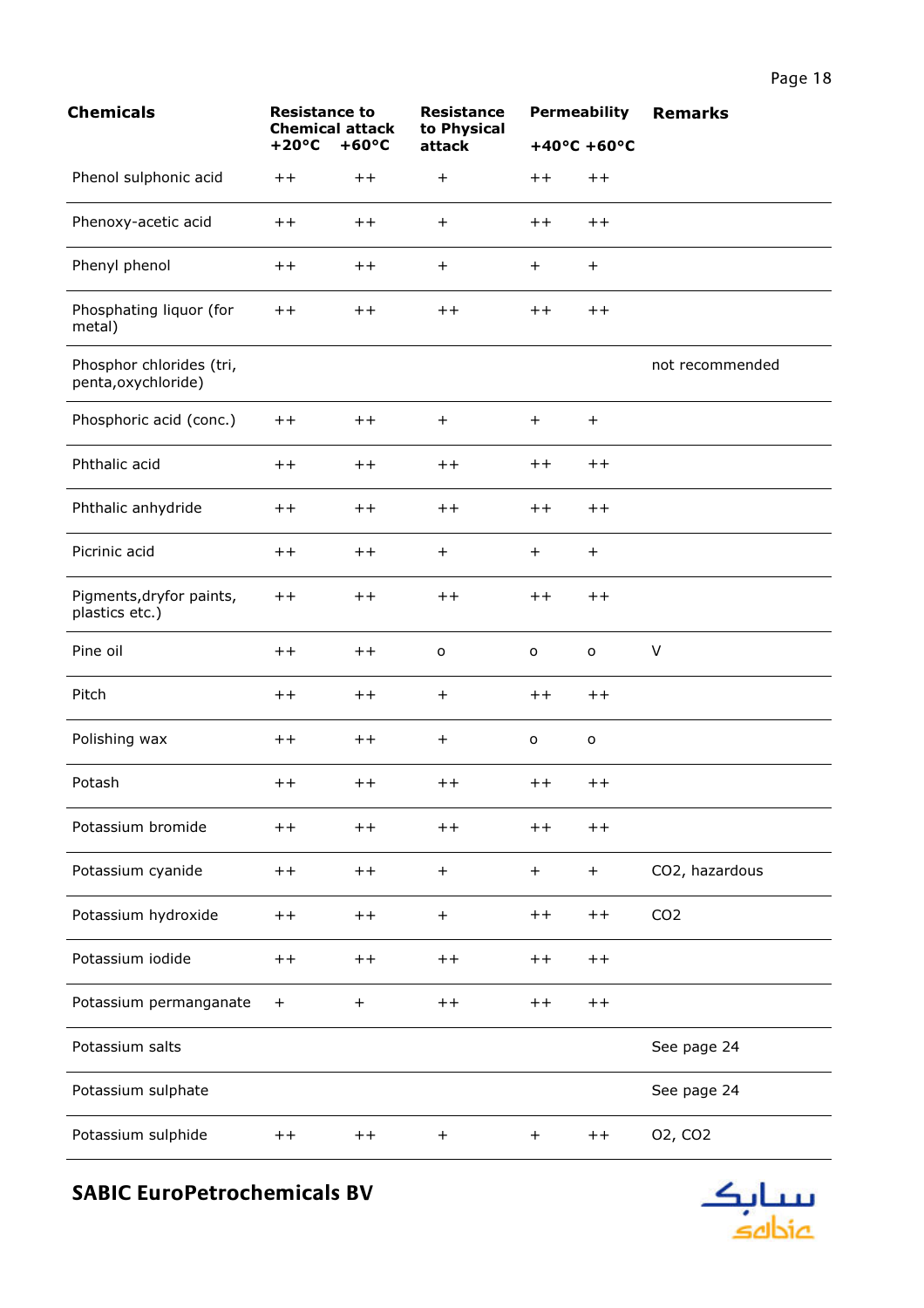| <b>Chemicals</b>                                | <b>Resistance to</b><br><b>Chemical attack</b><br>$+20^{\circ}C$<br>$+60^{\circ}C$ |                 | <b>Resistance</b><br>to Physical |                 | <b>Permeability</b>   | <b>Remarks</b>      |
|-------------------------------------------------|------------------------------------------------------------------------------------|-----------------|----------------------------------|-----------------|-----------------------|---------------------|
|                                                 |                                                                                    |                 | attack                           |                 | $+40^{\circ}$ C +60°C |                     |
| Phenol sulphonic acid                           | $+ +$                                                                              | $++$            | $\ddot{}$                        | $++$            | $++$                  |                     |
| Phenoxy-acetic acid                             | $++$                                                                               | $+ +$           | $\ddot{}$                        | $+ +$           | $++$                  |                     |
| Phenyl phenol                                   | $+ +$                                                                              | $+ +$           | $\ddot{}$                        | $^{+}$          | $+$                   |                     |
| Phosphating liquor (for<br>metal)               | $+ +$                                                                              | $^{\mathrm{+}}$ | $++$                             | $++$            | $++$                  |                     |
| Phosphor chlorides (tri,<br>penta, oxychloride) |                                                                                    |                 |                                  |                 |                       | not recommended     |
| Phosphoric acid (conc.)                         | $++$                                                                               | $++$            | $+$                              | $+$             | $+$                   |                     |
| Phthalic acid                                   | $++$                                                                               | $+ +$           | $++$                             | $^{\mathrm{+}}$ | $++$                  |                     |
| Phthalic anhydride                              | $+ +$                                                                              | $++$            | $+ +$                            | $++$            | $++$                  |                     |
| Picrinic acid                                   | $++$                                                                               | $++$            | $+$                              | $+$             | $+$                   |                     |
| Pigments, dryfor paints,<br>plastics etc.)      | $^{\mathrm{+}}$                                                                    | $^{\mathrm{+}}$ | $++$                             | $++$            | $++$                  |                     |
| Pine oil                                        | $++$                                                                               | $++$            | $\mathsf{o}$                     | $\mathsf{o}\,$  | $\mathsf{o}\xspace$   | V                   |
| Pitch                                           | $++$                                                                               | $++$            | $\ddot{}$                        | $++$            | $++$                  |                     |
| Polishing wax                                   | $^{\mathrm{+}}$                                                                    | $++$            | $\ddot{}$                        | o               | $\mathsf{o}\xspace$   |                     |
| Potash                                          | $^{\mathrm{+}}$                                                                    | $^{\mathrm{+}}$ | $^{\mathrm{+}}$                  | $^{\mathrm{+}}$ | $^{\mathrm{+}}$       |                     |
| Potassium bromide                               | $++$                                                                               | $++$            | $++$                             | $+ +$           | $++$                  |                     |
| Potassium cyanide                               | $^{\mathrm{+}}$                                                                    | $++$            | $+$                              | $+$             | $\ddot{}$             | CO2, hazardous      |
| Potassium hydroxide                             | $++$                                                                               | $++$            | $+$                              | $++$            | $++$                  | CO <sub>2</sub>     |
| Potassium iodide                                | $++$                                                                               | $++$            | $+ +$                            | $+ +$           | $++$                  |                     |
| Potassium permanganate                          | $+$                                                                                | $+$             | $+ +$                            | $+ +$           | $++$                  |                     |
| Potassium salts                                 |                                                                                    |                 |                                  |                 |                       | See page 24         |
| Potassium sulphate                              |                                                                                    |                 |                                  |                 |                       | See page 24         |
| Potassium sulphide                              | $++$                                                                               | $++$            | $\ddot{}$                        | $+$             | $++$                  | 02, CO <sub>2</sub> |

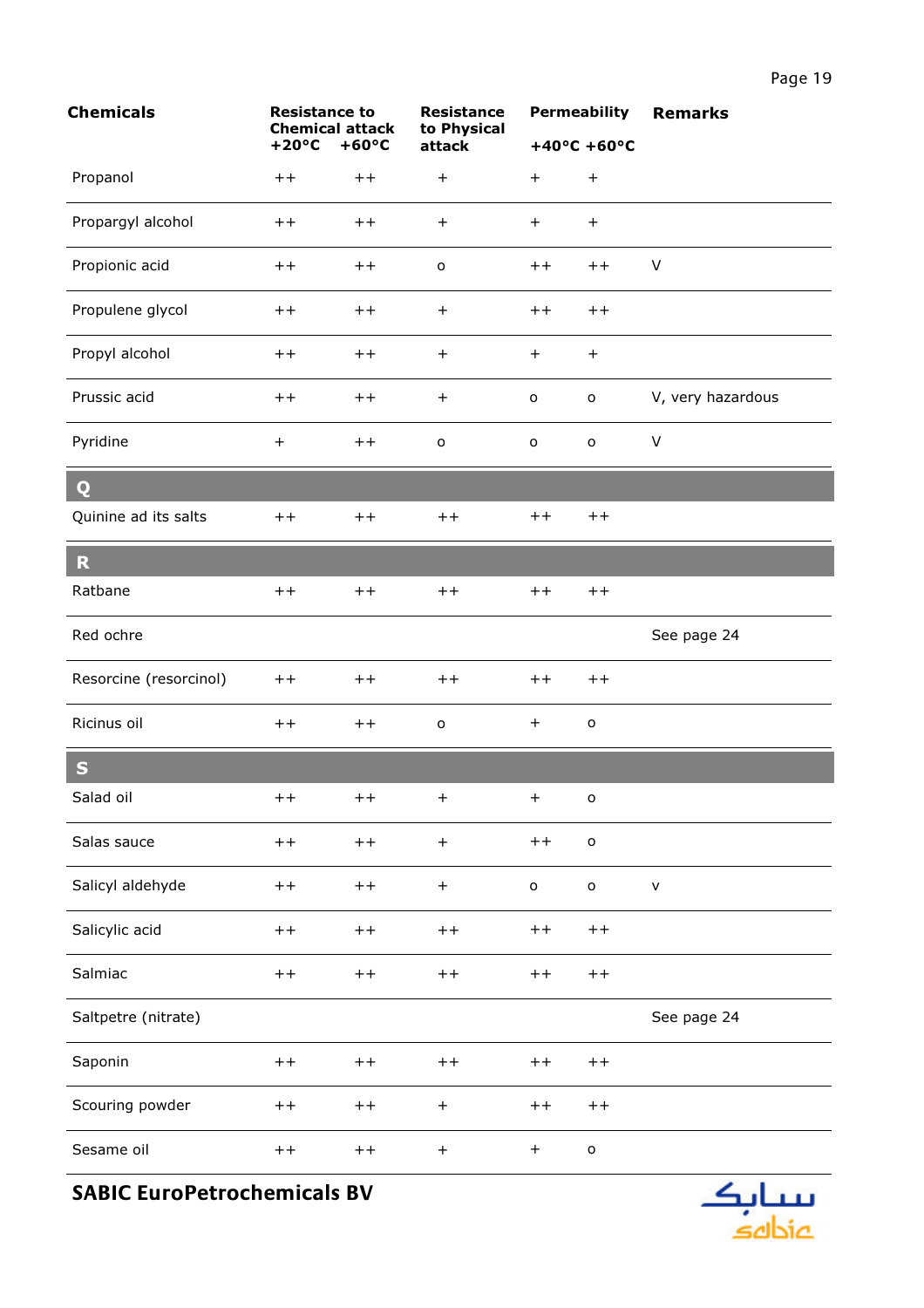| <b>Chemicals</b>       | <b>Resistance to</b><br><b>Chemical attack</b> |                 | <b>Resistance</b><br>to Physical |                | <b>Permeability</b>              | <b>Remarks</b>    |
|------------------------|------------------------------------------------|-----------------|----------------------------------|----------------|----------------------------------|-------------------|
|                        | $+20^{\circ}C$                                 | $+60^{\circ}C$  | attack                           |                | $+40^{\circ}$ C +60°C            |                   |
| Propanol               | $++$                                           | $++$            | $\ddot{}$                        | $+$            | $\qquad \qquad +$                |                   |
| Propargyl alcohol      | $+ +$                                          | $++$            | $\ddot{}$                        | $+$            | $\begin{array}{c} + \end{array}$ |                   |
| Propionic acid         | $+ +$                                          | $++$            | $\mathsf{o}$                     | $++$           | $++$                             | $\vee$            |
| Propulene glycol       | $++$                                           | $++$            | $+$                              | $+ +$          | $++$                             |                   |
| Propyl alcohol         | $++$                                           | $++$            | $+$                              | $+$            | $+$                              |                   |
| Prussic acid           | $+ +$                                          | $+ +$           | $\ddot{}$                        | $\mathsf{o}\,$ | $\mathsf{o}$                     | V, very hazardous |
| Pyridine               | $\ddot{}$                                      | $++$            | $\mathsf{o}$                     | $\mathsf{o}\,$ | $\mathsf{o}\xspace$              | $\vee$            |
| Q                      |                                                |                 |                                  |                |                                  |                   |
| Quinine ad its salts   | $++$                                           | $++$            | $++$                             | $+ +$          | $++$                             |                   |
| $\mathbf R$            |                                                |                 |                                  |                |                                  |                   |
| Ratbane                | $++$                                           | $++$            | $++$                             | $++$           | $++$                             |                   |
| Red ochre              |                                                |                 |                                  |                |                                  | See page 24       |
| Resorcine (resorcinol) | $++$                                           | $+ +$           | $++$                             | $+ +$          | $+ +$                            |                   |
| Ricinus oil            | $+ +$                                          | $+ +$           | $\mathsf{o}$                     | $+$            | $\mathsf{o}$                     |                   |
| $\mathbf S$            |                                                |                 |                                  |                |                                  |                   |
| Salad oil              | $^{\mathrm{+}}$                                | $^{\mathrm{+}}$ | $\pm$                            | $+$            | о                                |                   |
| Salas sauce            | $+ +$                                          | $++$            | $\boldsymbol{+}$                 | $++$           | $\mathsf{o}$                     |                   |
| Salicyl aldehyde       | $+ +$                                          | $+ +$           | $+$                              | $\mathsf{o}$   | $\mathsf{o}$                     | $\mathsf{V}$      |
| Salicylic acid         | $+ +$                                          | $+ +$           | $++$                             | $+ +$          | $+ +$                            |                   |
| Salmiac                | $++$                                           | $+ +$           | $++$                             | $++$           | $+ +$                            |                   |
| Saltpetre (nitrate)    |                                                |                 |                                  |                |                                  | See page 24       |
| Saponin                | $+ +$                                          | $+ +$           | $++$                             | $++$           | $+ +$                            |                   |
| Scouring powder        | $++$                                           | $+ +$           | $\begin{array}{c} + \end{array}$ | $++$           | $+ +$                            |                   |
| Sesame oil             | $+ +$                                          | $++$            | $+$                              | $+$            | $\mathsf{o}$                     |                   |

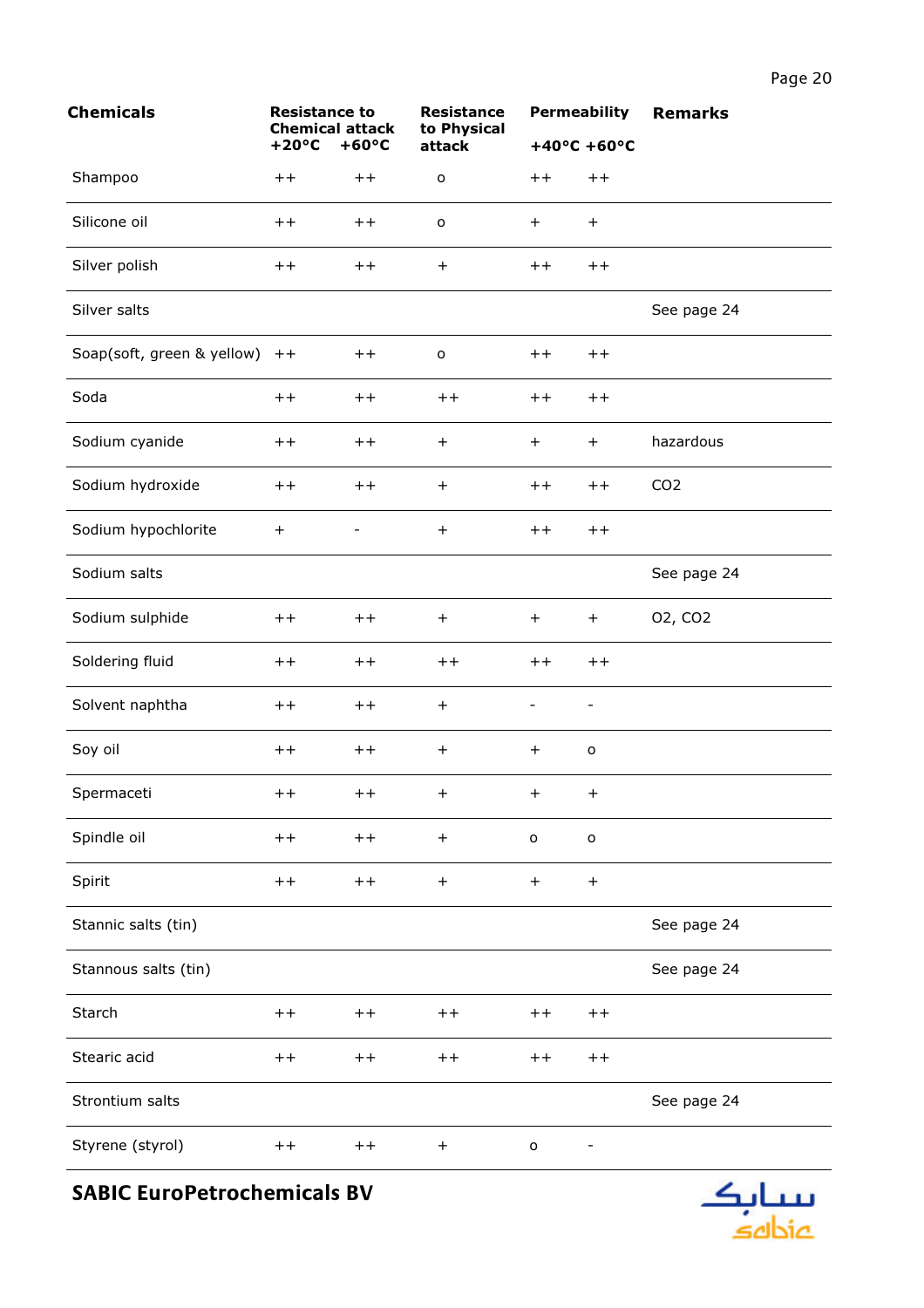| <b>Chemicals</b>           | <b>Resistance to</b><br><b>Chemical attack</b> |                 | <b>Resistance</b><br>to Physical |                          | <b>Permeability</b>   | <b>Remarks</b>      |
|----------------------------|------------------------------------------------|-----------------|----------------------------------|--------------------------|-----------------------|---------------------|
|                            | $+20^{\circ}C$                                 | $+60^{\circ}C$  | attack                           |                          | $+40^{\circ}$ C +60°C |                     |
| Shampoo                    | $++$                                           | $++$            | $\mathsf{o}$                     | $+ +$                    | $++$                  |                     |
| Silicone oil               | $++$                                           | $++$            | $\mathsf{o}$                     | $\ddot{}$                | $+$                   |                     |
| Silver polish              | $+ +$                                          | $+ +$           | $+$                              | $+ +$                    | $++$                  |                     |
| Silver salts               |                                                |                 |                                  |                          |                       | See page 24         |
| Soap(soft, green & yellow) | $++$                                           | $++$            | $\mathsf{o}$                     | $+ +$                    | $++$                  |                     |
| Soda                       | $++$                                           | $+ +$           | $++$                             | $+ +$                    | $++$                  |                     |
| Sodium cyanide             | $+ +$                                          | $+ +$           | $+$                              | $+$                      | $+$                   | hazardous           |
| Sodium hydroxide           | $++$                                           | $+ +$           | $+$                              | $+ +$                    | $++$                  | CO <sub>2</sub>     |
| Sodium hypochlorite        | $\ddot{}$                                      | -               | $\boldsymbol{+}$                 | $++$                     | $++$                  |                     |
| Sodium salts               |                                                |                 |                                  |                          |                       | See page 24         |
| Sodium sulphide            | $+ +$                                          | $+ +$           | $+$                              | $+$                      | $+$                   | 02, CO <sub>2</sub> |
| Soldering fluid            | $+ +$                                          | $+ +$           | $++$                             | $+ +$                    | $++$                  |                     |
| Solvent naphtha            | $++$                                           | $++$            | $+$                              | $\overline{\phantom{0}}$ | $\qquad \qquad -$     |                     |
| Soy oil                    | $+ +$                                          | $+ +$           | $+$                              | $\ddot{}$                | $\mathsf{o}\,$        |                     |
| Spermaceti                 | $+ +$                                          | $^{\mathrm{+}}$ | $+$                              | $+$                      | $+$                   |                     |
| Spindle oil                | $++$                                           | $++$            | $+$                              | $\mathsf{o}$             | $\mathsf{o}$          |                     |
| Spirit                     | $+ +$                                          | $++$            | $+$                              | $\boldsymbol{+}$         | $+$                   |                     |
| Stannic salts (tin)        |                                                |                 |                                  |                          |                       | See page 24         |
| Stannous salts (tin)       |                                                |                 |                                  |                          |                       | See page 24         |
| Starch                     | $++$                                           | $+ +$           | $++$                             | $^{\mathrm{+}}$          | $++$                  |                     |
| Stearic acid               | $+ +$                                          | $+ +$           | $++$                             | $+ +$                    | $+ +$                 |                     |
| Strontium salts            |                                                |                 |                                  |                          |                       | See page 24         |
| Styrene (styrol)           | $+ +$                                          | $+ +$           | $+$                              | $\mathsf{o}$             |                       |                     |

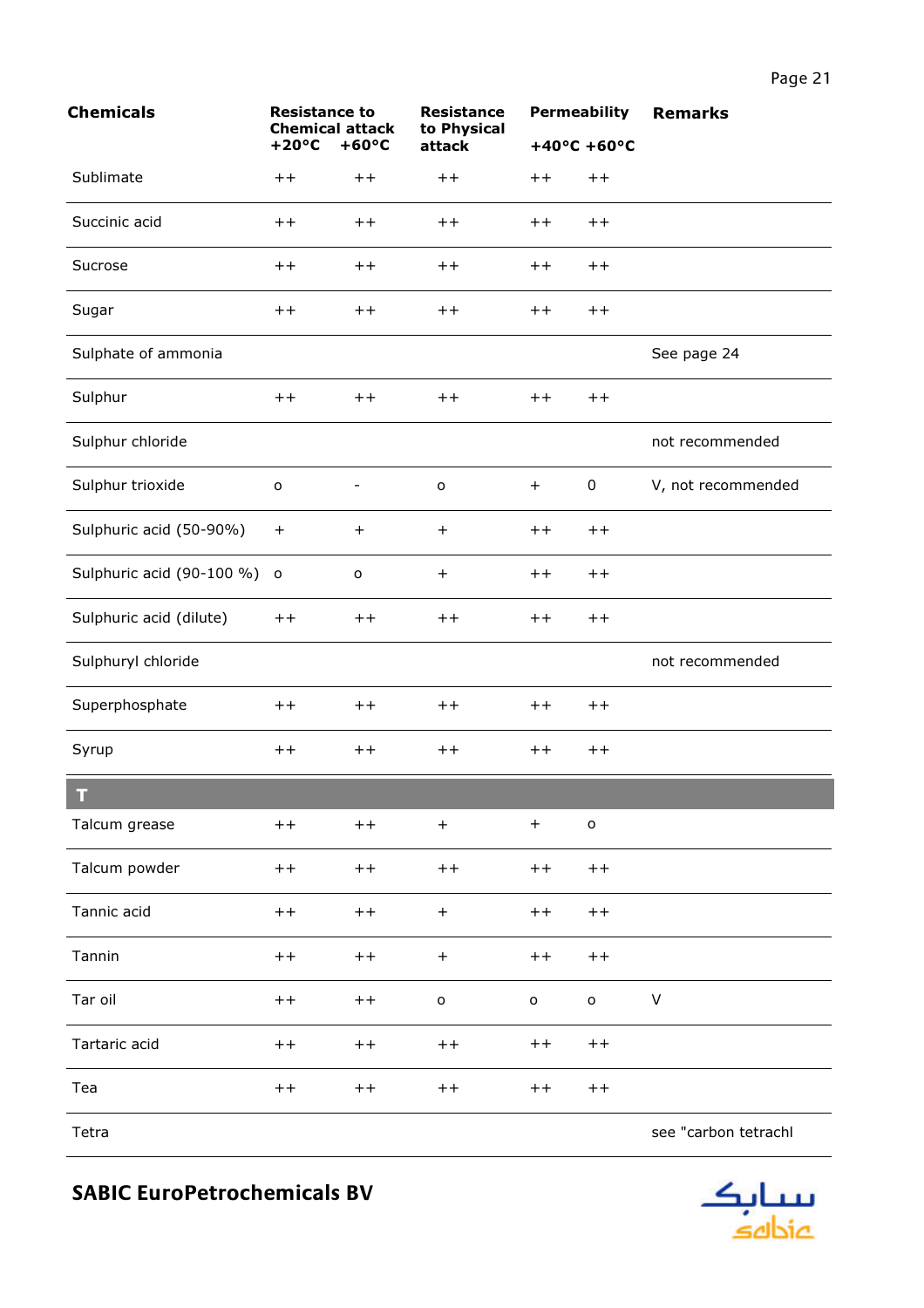| <b>Chemicals</b>            | <b>Resistance to</b><br><b>Chemical attack</b><br>$+20^{\circ}C$<br>$+60^{\circ}C$ |              | <b>Resistance</b><br>to Physical<br>attack |                       | <b>Permeability</b> | <b>Remarks</b>       |
|-----------------------------|------------------------------------------------------------------------------------|--------------|--------------------------------------------|-----------------------|---------------------|----------------------|
|                             |                                                                                    |              |                                            | $+40^{\circ}$ C +60°C |                     |                      |
| Sublimate                   | $++$                                                                               | $++$         | $++$                                       | $++$                  | $++$                |                      |
| Succinic acid               | $^{\mathrm{+}}$                                                                    | $+ +$        | $^{\mathrm{+}}$                            | $++$                  | $++$                |                      |
| Sucrose                     | $++$                                                                               | $++$         | $++$                                       | $+ +$                 | $++$                |                      |
| Sugar                       | $+ +$                                                                              | $++$         | $++$                                       | $+ +$                 | $++$                |                      |
| Sulphate of ammonia         |                                                                                    |              |                                            |                       |                     | See page 24          |
| Sulphur                     | $++$                                                                               | $++$         | $++$                                       | $+ +$                 | $++$                |                      |
| Sulphur chloride            |                                                                                    |              |                                            |                       |                     | not recommended      |
| Sulphur trioxide            | $\mathsf{o}$                                                                       |              | $\mathsf{o}$                               | $+$                   | 0                   | V, not recommended   |
| Sulphuric acid (50-90%)     | $\ddot{}$                                                                          | $+$          | $+$                                        | $++$                  | $++$                |                      |
| Sulphuric acid (90-100 %) o |                                                                                    | $\mathsf{o}$ | $+$                                        | $++$                  | $++$                |                      |
| Sulphuric acid (dilute)     | $+ +$                                                                              | $++$         | $++$                                       | $+ +$                 | $+ +$               |                      |
| Sulphuryl chloride          |                                                                                    |              |                                            |                       |                     | not recommended      |
| Superphosphate              | $++$                                                                               | $++$         | $++$                                       | $++$                  | $++$                |                      |
| Syrup                       | $+ +$                                                                              | $++$         | $++$                                       | $+ +$                 | $++$                |                      |
| т                           |                                                                                    |              |                                            |                       |                     |                      |
| Talcum grease               | $++$                                                                               | $++$         | $\boldsymbol{+}$                           | $\boldsymbol{+}$      | $\mathsf{o}$        |                      |
| Talcum powder               | $+ +$                                                                              | $++$         | $++$                                       | $++$                  | $+ +$               |                      |
| Tannic acid                 | $+ +$                                                                              | $++$         | $\boldsymbol{+}$                           | $++$                  | $+ +$               |                      |
| Tannin                      | $+ +$                                                                              | $++$         | $+$                                        | $++$                  | $+ +$               |                      |
| Tar oil                     | $+ +$                                                                              | $++$         | $\mathsf{o}$                               | $\mathsf{o}$          | $\mathsf{o}$        | $\sf V$              |
| Tartaric acid               | $+ +$                                                                              | $++$         | $+ +$                                      | $++$                  | $++$                |                      |
| Tea                         | $+ +$                                                                              | $++$         | $++$                                       | $++$                  | $+ +$               |                      |
| Tetra                       |                                                                                    |              |                                            |                       |                     | see "carbon tetrachl |

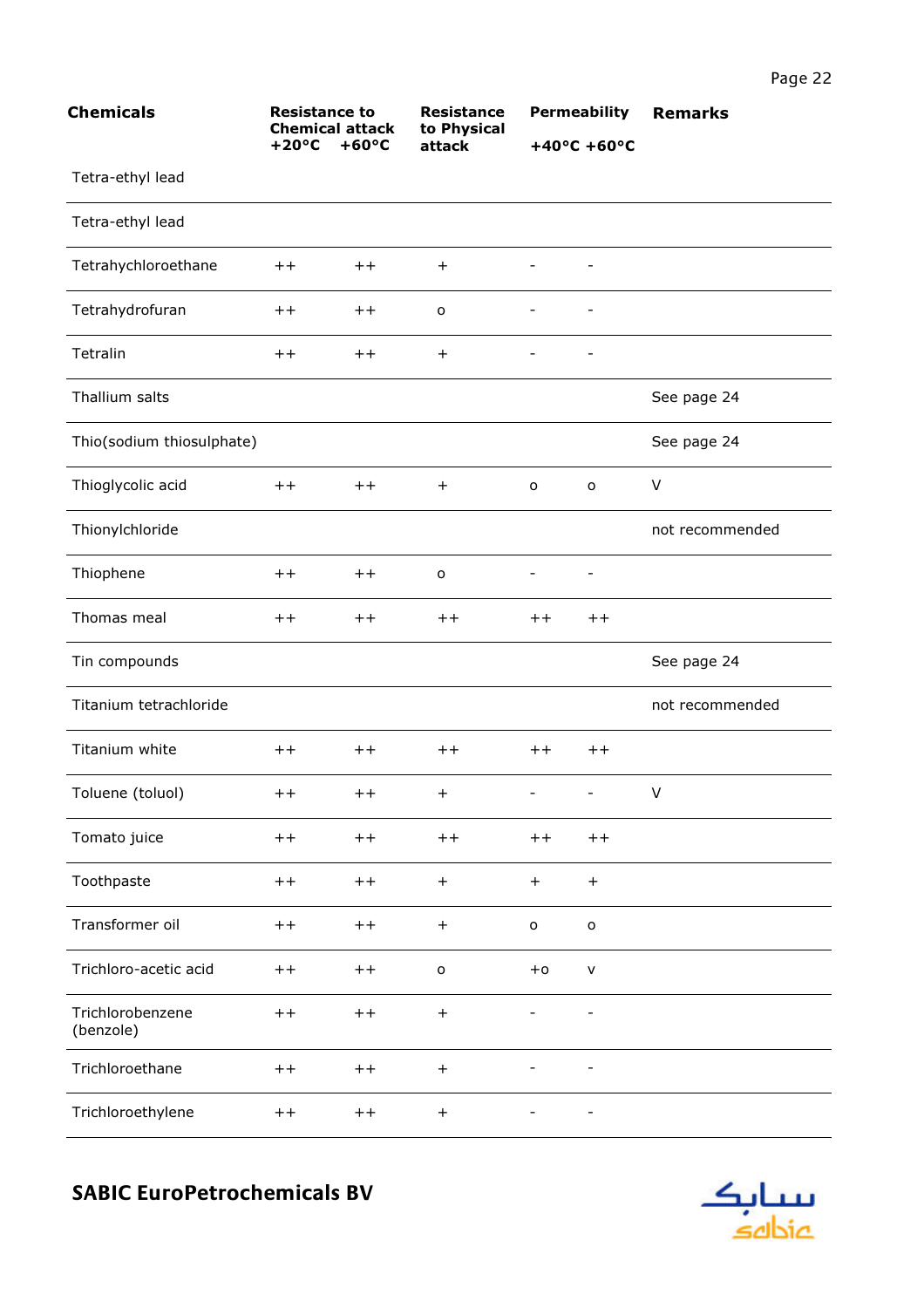| <b>Chemicals</b>              | <b>Resistance to</b><br><b>Chemical attack</b><br>$+60^{\circ}C$<br>$+20^{\circ}C$ |       | <b>Resistance</b><br>to Physical | <b>Permeability</b> |                          | <b>Remarks</b>  |
|-------------------------------|------------------------------------------------------------------------------------|-------|----------------------------------|---------------------|--------------------------|-----------------|
|                               |                                                                                    |       | attack                           |                     | $+40^{\circ}$ C +60°C    |                 |
| Tetra-ethyl lead              |                                                                                    |       |                                  |                     |                          |                 |
| Tetra-ethyl lead              |                                                                                    |       |                                  |                     |                          |                 |
| Tetrahychloroethane           | $+ +$                                                                              | $++$  | $+$                              |                     |                          |                 |
| Tetrahydrofuran               | $^{\mathrm{+}}$                                                                    | $++$  | $\mathsf{o}$                     | $\qquad \qquad -$   | $\overline{\phantom{a}}$ |                 |
| Tetralin                      | $+ +$                                                                              | $++$  | $\ddot{}$                        |                     | $\overline{\phantom{a}}$ |                 |
| Thallium salts                |                                                                                    |       |                                  |                     |                          | See page 24     |
| Thio(sodium thiosulphate)     |                                                                                    |       |                                  |                     |                          | See page 24     |
| Thioglycolic acid             | $++$                                                                               | $++$  | $+$                              | $\mathsf{o}$        | o                        | $\vee$          |
| Thionylchloride               |                                                                                    |       |                                  |                     |                          | not recommended |
| Thiophene                     | $^{\mathrm{+}}$                                                                    | $+ +$ | $\mathsf{o}$                     |                     |                          |                 |
| Thomas meal                   | $+ +$                                                                              | $++$  | $+ +$                            | $++$                | $++$                     |                 |
| Tin compounds                 |                                                                                    |       |                                  |                     |                          | See page 24     |
| Titanium tetrachloride        |                                                                                    |       |                                  |                     |                          | not recommended |
| Titanium white                | $++$                                                                               | $++$  | $++$                             | $++$                | $+ +$                    |                 |
| Toluene (toluol)              | $++$                                                                               | $++$  | $+$                              |                     |                          | $\vee$          |
| Tomato juice                  | $++$                                                                               | $++$  | $++$                             | $+ +$               | $++$                     |                 |
| Toothpaste                    | $+ +$                                                                              | $++$  | $\boldsymbol{+}$                 | $+$                 | $+$                      |                 |
| Transformer oil               | $+ +$                                                                              | $++$  | $+$                              | $\mathsf{o}$        | $\mathsf{o}$             |                 |
| Trichloro-acetic acid         | $+ +$                                                                              | $++$  | $\mathsf{o}$                     | $+0$                | $\mathsf{v}$             |                 |
| Trichlorobenzene<br>(benzole) | $+ +$                                                                              | $++$  | $+$                              |                     |                          |                 |
| Trichloroethane               | $+ +$                                                                              | $++$  | $\boldsymbol{+}$                 |                     |                          |                 |
| Trichloroethylene             | $++$                                                                               | $++$  | $\boldsymbol{+}$                 |                     | $\overline{\phantom{a}}$ |                 |

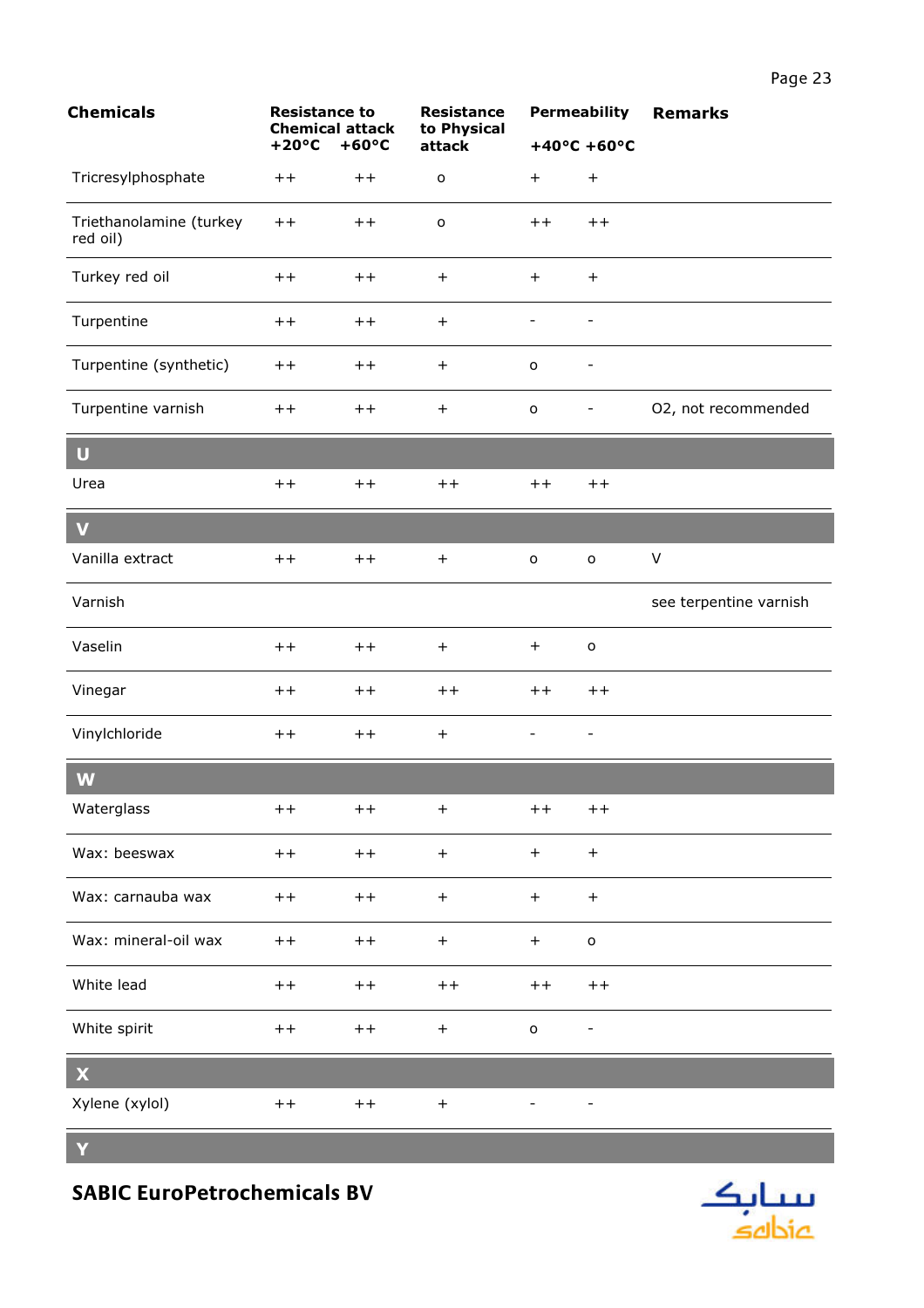| <b>Chemicals</b><br><b>Resistance to</b><br>$+20^{\circ}C$<br>$+60^{\circ}C$ | <b>Chemical attack</b> |       | <b>Resistance</b><br>to Physical<br>attack | <b>Permeability</b>      |                          | <b>Remarks</b>         |
|------------------------------------------------------------------------------|------------------------|-------|--------------------------------------------|--------------------------|--------------------------|------------------------|
|                                                                              |                        |       |                                            | $+40^{\circ}$ C +60°C    |                          |                        |
| Tricresylphosphate                                                           | $++$                   | $++$  | $\mathsf{o}$                               | $+$                      | $+$                      |                        |
| Triethanolamine (turkey<br>red oil)                                          | $+ +$                  | $+ +$ | $\mathsf{o}$                               | $+ +$                    | $++$                     |                        |
| Turkey red oil                                                               | $++$                   | $++$  | $+$                                        | $+$                      | $+$                      |                        |
| Turpentine                                                                   | $++$                   | $++$  | $\ddot{}$                                  | $\overline{\phantom{a}}$ | $\overline{\phantom{a}}$ |                        |
| Turpentine (synthetic)                                                       | $++$                   | $++$  | $+$                                        | o                        | $\qquad \qquad -$        |                        |
| Turpentine varnish                                                           | $++$                   | $++$  | $+$                                        | $\mathsf{o}$             | $\overline{\phantom{a}}$ | O2, not recommended    |
| $\begin{array}{c} \mathbf{U} \end{array}$                                    |                        |       |                                            |                          |                          |                        |
| Urea                                                                         | $++$                   | $++$  | $++$                                       | $+ +$                    | $++$                     |                        |
| $\overline{\mathbf{V}}$                                                      |                        |       |                                            |                          |                          |                        |
| Vanilla extract                                                              | $++$                   | $++$  | $+$                                        | $\mathsf{o}$             | $\mathsf{o}$             | V                      |
| Varnish                                                                      |                        |       |                                            |                          |                          | see terpentine varnish |
| Vaselin                                                                      | $++$                   | $++$  | $+$                                        | $+$                      | $\mathsf{o}$             |                        |
| Vinegar                                                                      | $++$                   | $++$  | $++$                                       | $++$                     | $++$                     |                        |
| Vinylchloride                                                                | $++$                   | $++$  | $\ddot{}$                                  | -                        | $\overline{\phantom{a}}$ |                        |
| W                                                                            |                        |       |                                            |                          |                          |                        |
| Waterglass                                                                   | $++$                   | $++$  | $\ddot{}$                                  | $+ +$                    | $++$                     |                        |
| Wax: beeswax                                                                 | $+ +$                  | $++$  | $\begin{array}{c} + \end{array}$           | $+$                      | $+$                      |                        |
| Wax: carnauba wax                                                            | $++$                   | $++$  | $+$                                        | $+$                      | $+$                      |                        |
| Wax: mineral-oil wax                                                         | $++$                   | $++$  | $\begin{array}{c} + \end{array}$           | $+$                      | $\mathsf{o}$             |                        |
| White lead                                                                   | $+ +$                  | $++$  | $+ +$                                      | $+ +$                    | $+ +$                    |                        |
| White spirit                                                                 | $+ +$                  | $+ +$ | $\begin{array}{c} + \end{array}$           | $\mathsf{o}$             |                          |                        |
| $\boldsymbol{\mathsf{X}}$                                                    |                        |       |                                            |                          |                          |                        |
| Xylene (xylol)                                                               | $+ +$                  | $+ +$ | $\boldsymbol{+}$                           |                          |                          |                        |

 $\mathbf{Y}$